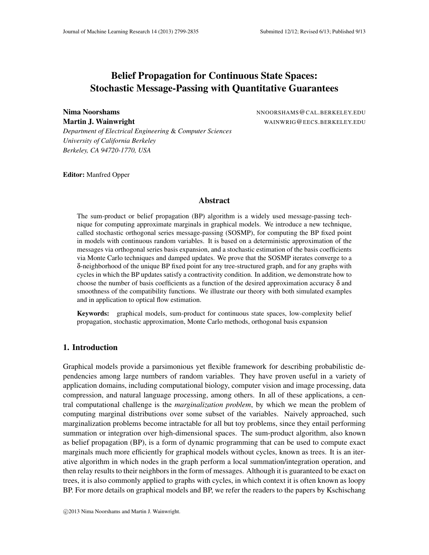# Belief Propagation for Continuous State Spaces: Stochastic Message-Passing with Quantitative Guarantees

Nima Noorshams Noorshams NNOORSHAMS@CAL.BERKELEY.EDU Martin J. Wainwright WAINWRIG@EECS.BERKELEY.EDU

*Department of Electrical Engineering* & *Computer Sciences University of California Berkeley Berkeley, CA 94720-1770, USA*

Editor: Manfred Opper

## Abstract

The sum-product or belief propagation (BP) algorithm is a widely used message-passing technique for computing approximate marginals in graphical models. We introduce a new technique, called stochastic orthogonal series message-passing (SOSMP), for computing the BP fixed point in models with continuous random variables. It is based on a deterministic approximation of the messages via orthogonal series basis expansion, and a stochastic estimation of the basis coefficients via Monte Carlo techniques and damped updates. We prove that the SOSMP iterates converge to a δ-neighborhood of the unique BP fixed point for any tree-structured graph, and for any graphs with cycles in which the BP updates satisfy a contractivity condition. In addition, we demonstrate how to choose the number of basis coefficients as a function of the desired approximation accuracy  $\delta$  and smoothness of the compatibility functions. We illustrate our theory with both simulated examples and in application to optical flow estimation.

Keywords: graphical models, sum-product for continuous state spaces, low-complexity belief propagation, stochastic approximation, Monte Carlo methods, orthogonal basis expansion

## 1. Introduction

Graphical models provide a parsimonious yet flexible framework for describing probabilistic dependencies among large numbers of random variables. They have proven useful in a variety of application domains, including computational biology, computer vision and image processing, data compression, and natural language processing, among others. In all of these applications, a central computational challenge is the *marginalization problem*, by which we mean the problem of computing marginal distributions over some subset of the variables. Naively approached, such marginalization problems become intractable for all but toy problems, since they entail performing summation or integration over high-dimensional spaces. The sum-product algorithm, also known as belief propagation (BP), is a form of dynamic programming that can be used to compute exact marginals much more efficiently for graphical models without cycles, known as trees. It is an iterative algorithm in which nodes in the graph perform a local summation/integration operation, and then relay results to their neighbors in the form of messages. Although it is guaranteed to be exact on trees, it is also commonly applied to graphs with cycles, in which context it is often known as loopy BP. For more details on graphical models and BP, we refer the readers to the papers by Kschischang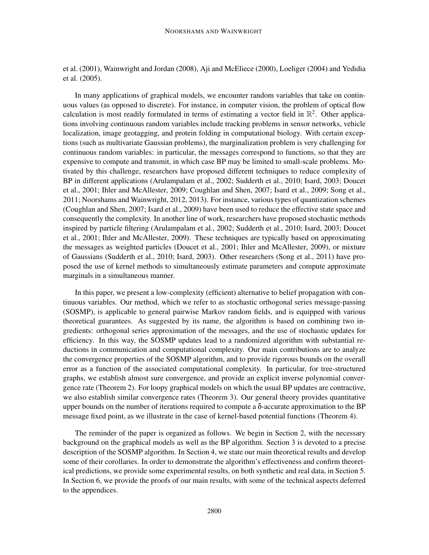et al. (2001), Wainwright and Jordan (2008), Aji and McEliece (2000), Loeliger (2004) and Yedidia et al. (2005).

In many applications of graphical models, we encounter random variables that take on continuous values (as opposed to discrete). For instance, in computer vision, the problem of optical flow calculation is most readily formulated in terms of estimating a vector field in  $\mathbb{R}^2$ . Other applications involving continuous random variables include tracking problems in sensor networks, vehicle localization, image geotagging, and protein folding in computational biology. With certain exceptions (such as multivariate Gaussian problems), the marginalization problem is very challenging for continuous random variables: in particular, the messages correspond to functions, so that they are expensive to compute and transmit, in which case BP may be limited to small-scale problems. Motivated by this challenge, researchers have proposed different techniques to reduce complexity of BP in different applications (Arulampalam et al., 2002; Sudderth et al., 2010; Isard, 2003; Doucet et al., 2001; Ihler and McAllester, 2009; Coughlan and Shen, 2007; Isard et al., 2009; Song et al., 2011; Noorshams and Wainwright, 2012, 2013). For instance, varioustypes of quantization schemes (Coughlan and Shen, 2007; Isard et al., 2009) have been used to reduce the effective state space and consequently the complexity. In another line of work, researchers have proposed stochastic methods inspired by particle filtering (Arulampalam et al., 2002; Sudderth et al., 2010; Isard, 2003; Doucet et al., 2001; Ihler and McAllester, 2009). These techniques are typically based on approximating the messages as weighted particles (Doucet et al., 2001; Ihler and McAllester, 2009), or mixture of Gaussians (Sudderth et al., 2010; Isard, 2003). Other researchers (Song et al., 2011) have proposed the use of kernel methods to simultaneously estimate parameters and compute approximate marginals in a simultaneous manner.

In this paper, we present a low-complexity (efficient) alternative to belief propagation with continuous variables. Our method, which we refer to as stochastic orthogonal series message-passing (SOSMP), is applicable to general pairwise Markov random fields, and is equipped with various theoretical guarantees. As suggested by its name, the algorithm is based on combining two ingredients: orthogonal series approximation of the messages, and the use of stochastic updates for efficiency. In this way, the SOSMP updates lead to a randomized algorithm with substantial reductions in communication and computational complexity. Our main contributions are to analyze the convergence properties of the SOSMP algorithm, and to provide rigorous bounds on the overall error as a function of the associated computational complexity. In particular, for tree-structured graphs, we establish almost sure convergence, and provide an explicit inverse polynomial convergence rate (Theorem 2). For loopy graphical models on which the usual BP updates are contractive, we also establish similar convergence rates (Theorem 3). Our general theory provides quantitative upper bounds on the number of iterations required to compute a  $\delta$ -accurate approximation to the BP message fixed point, as we illustrate in the case of kernel-based potential functions (Theorem 4).

The reminder of the paper is organized as follows. We begin in Section 2, with the necessary background on the graphical models as well as the BP algorithm. Section 3 is devoted to a precise description of the SOSMP algorithm. In Section 4, we state our main theoretical results and develop some of their corollaries. In order to demonstrate the algorithm's effectiveness and confirm theoretical predictions, we provide some experimental results, on both synthetic and real data, in Section 5. In Section 6, we provide the proofs of our main results, with some of the technical aspects deferred to the appendices.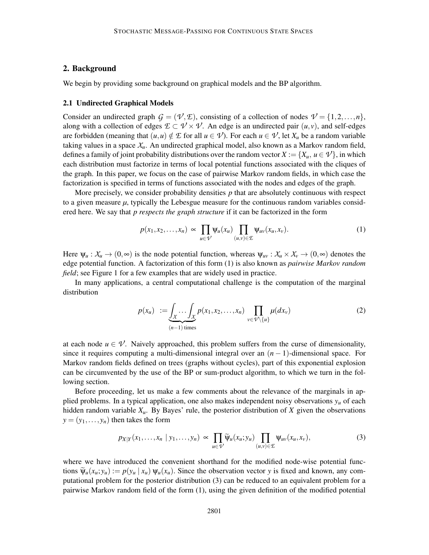## 2. Background

We begin by providing some background on graphical models and the BP algorithm.

### 2.1 Undirected Graphical Models

Consider an undirected graph  $G = (\mathcal{V}, \mathcal{E})$ , consisting of a collection of nodes  $\mathcal{V} = \{1, 2, ..., n\}$ , along with a collection of edges  $E \subset V \times V$ . An edge is an undirected pair  $(u, v)$ , and self-edges are forbidden (meaning that  $(u, u) \notin \mathcal{I}$  for all  $u \in \mathcal{V}$ ). For each  $u \in \mathcal{V}$ , let  $X_u$  be a random variable taking values in a space  $X<sub>u</sub>$ . An undirected graphical model, also known as a Markov random field, defines a family of joint probability distributions over the random vector  $X := \{X_u, u \in V\}$ , in which each distribution must factorize in terms of local potential functions associated with the cliques of the graph. In this paper, we focus on the case of pairwise Markov random fields, in which case the factorization is specified in terms of functions associated with the nodes and edges of the graph.

More precisely, we consider probability densities *p* that are absolutely continuous with respect to a given measure  $\mu$ , typically the Lebesgue measure for the continuous random variables considered here. We say that *p respects the graph structure* if it can be factorized in the form

$$
p(x_1, x_2, \dots, x_n) \propto \prod_{u \in \mathcal{V}} \psi_u(x_u) \prod_{(u,v) \in \mathcal{E}} \psi_{uv}(x_u, x_v).
$$
 (1)

Here  $\Psi_u : X_u \to (0, \infty)$  is the node potential function, whereas  $\Psi_{uv} : X_u \times X_v \to (0, \infty)$  denotes the edge potential function. A factorization of this form (1) is also known as *pairwise Markov random field*; see Figure 1 for a few examples that are widely used in practice.

In many applications, a central computational challenge is the computation of the marginal distribution

$$
p(x_u) := \underbrace{\int_X \cdots \int_X p(x_1, x_2, \dots, x_n)}_{(n-1) \text{ times}} \prod_{v \in \mathcal{V} \setminus \{u\}} \mu(dx_v)
$$
 (2)

at each node  $u \in V$ . Naively approached, this problem suffers from the curse of dimensionality, since it requires computing a multi-dimensional integral over an  $(n-1)$ -dimensional space. For Markov random fields defined on trees (graphs without cycles), part of this exponential explosion can be circumvented by the use of the BP or sum-product algorithm, to which we turn in the following section.

Before proceeding, let us make a few comments about the relevance of the marginals in applied problems. In a typical application, one also makes independent noisy observations  $y<sub>u</sub>$  of each hidden random variable *Xu*. By Bayes' rule, the posterior distribution of *X* given the observations  $y = (y_1, \ldots, y_n)$  then takes the form

$$
p_{X|Y}(x_1,\ldots,x_n \mid y_1,\ldots,y_n) \propto \prod_{u \in V} \widetilde{\psi}_u(x_u;y_u) \prod_{(u,v) \in \mathcal{L}} \psi_{uv}(x_u,x_v), \tag{3}
$$

where we have introduced the convenient shorthand for the modified node-wise potential functions  $\widetilde{\Psi}_u(x_u; y_u) := p(y_u | x_u) \Psi_u(x_u)$ . Since the observation vector y is fixed and known, any computational problem for the posterior distribution (3) can be reduced to an equivalent problem for a pairwise Markov random field of the form (1), using the given definition of the modified potential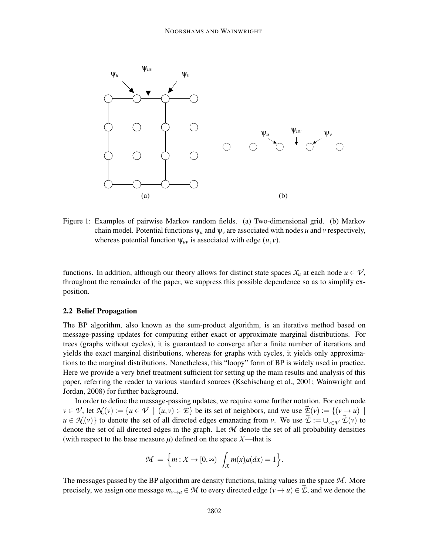

Figure 1: Examples of pairwise Markov random fields. (a) Two-dimensional grid. (b) Markov chain model. Potential functions  $\psi_u$  and  $\psi_v$  are associated with nodes *u* and *v* respectively, whereas potential function  $\psi_{uv}$  is associated with edge  $(u, v)$ .

functions. In addition, although our theory allows for distinct state spaces  $X_u$  at each node  $u \in V$ , throughout the remainder of the paper, we suppress this possible dependence so as to simplify exposition.

## 2.2 Belief Propagation

The BP algorithm, also known as the sum-product algorithm, is an iterative method based on message-passing updates for computing either exact or approximate marginal distributions. For trees (graphs without cycles), it is guaranteed to converge after a finite number of iterations and yields the exact marginal distributions, whereas for graphs with cycles, it yields only approximations to the marginal distributions. Nonetheless, this "loopy" form of BP is widely used in practice. Here we provide a very brief treatment sufficient for setting up the main results and analysis of this paper, referring the reader to various standard sources (Kschischang et al., 2001; Wainwright and Jordan, 2008) for further background.

In order to define the message-passing updates, we require some further notation. For each node  $v \in \mathcal{V}$ , let  $\mathcal{N}(v) := \{u \in \mathcal{V} \mid (u, v) \in \mathcal{E}\}$  be its set of neighbors, and we use  $\mathcal{Z}(v) := \{(v \to u) \mid$  $u \in \mathcal{N}(v)$  to denote the set of all directed edges emanating from *v*. We use  $\vec{\mathcal{L}} := \bigcup_{v \in \mathcal{V}} \vec{\mathcal{L}}(v)$  to denote the set of all directed edges in the graph. Let *M* denote the set of all probability densities (with respect to the base measure  $\mu$ ) defined on the space  $X$ —that is

$$
\mathcal{M} = \left\{ m : \mathcal{X} \to [0, \infty) \, \middle| \, \int_{\mathcal{X}} m(x) \mu(dx) = 1 \right\}.
$$

The messages passed by the BP algorithm are density functions, taking values in the space *M* . More precisely, we assign one message  $m_{v\to u} \in \mathcal{M}$  to every directed edge  $(v \to u) \in \mathcal{L}$ , and we denote the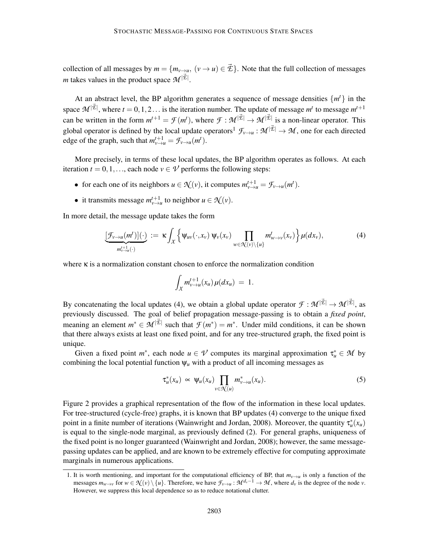collection of all messages by  $m = \{m_{v \to u}, (v \to u) \in \vec{\mathcal{L}}\}$ . Note that the full collection of messages *m* takes values in the product space  $\mathcal{M}^{|\vec{\mathcal{E}}|}$ .

At an abstract level, the BP algorithm generates a sequence of message densities  $\{m^t\}$  in the space  $\mathcal{M}^{|\vec{\mathcal{E}}|}$ , where  $t = 0, 1, 2...$  is the iteration number. The update of message  $m^t$  to message  $m^{t+1}$ can be written in the form  $m^{t+1} = \mathcal{F}(m^t)$ , where  $\mathcal{F}: \mathcal{M}^{|\vec{\mathcal{L}}|} \to \mathcal{M}^{|\vec{\mathcal{L}}|}$  is a non-linear operator. This global operator is defined by the local update operators<sup>1</sup>  $\mathcal{F}_{\nu\to u}: \mathcal{M}^{|\vec{\mathcal{L}}|} \to \mathcal{M}$ , one for each directed edge of the graph, such that  $m_{v \to u}^{t+1} = \mathcal{F}_{v \to u}(m^t)$ .

More precisely, in terms of these local updates, the BP algorithm operates as follows. At each iteration  $t = 0, 1, \ldots$ , each node  $v \in \mathcal{V}$  performs the following steps:

- for each one of its neighbors  $u \in \mathcal{N}(v)$ , it computes  $m_{v \to u}^{t+1} = \mathcal{F}_{v \to u}(m^t)$ .
- it transmits message  $m_{v \to u}^{t+1}$  to neighbor  $u \in \mathcal{N}(v)$ .

In more detail, the message update takes the form

$$
\underbrace{[\mathcal{F}_{v\to u}(m^t)](\cdot)}_{m_{v\to u}^{t+1}(\cdot)} := \kappa \int_{\mathcal{X}} \left\{ \Psi_{uv}(\cdot, x_v) \, \Psi_v(x_v) \prod_{w \in \mathcal{X}(v) \setminus \{u\}} m_{w\to v}^t(x_v) \right\} \mu(dx_v), \tag{4}
$$

where κ is a normalization constant chosen to enforce the normalization condition

$$
\int_X m_{\nu \to u}^{t+1}(x_u) \mu(dx_u) = 1.
$$

By concatenating the local updates (4), we obtain a global update operator  $\mathcal{F}: \mathcal{M}^{|\vec{\mathcal{L}}|} \to \mathcal{M}^{|\vec{\mathcal{L}}|}$ , as previously discussed. The goal of belief propagation message-passing is to obtain a *fixed point*, meaning an element  $m^* \in \mathcal{M}^{|\vec{\mathcal{E}}|}$  such that  $\mathcal{F}(m^*) = m^*$ . Under mild conditions, it can be shown that there always exists at least one fixed point, and for any tree-structured graph, the fixed point is unique.

Given a fixed point  $m^*$ , each node  $u \in V$  computes its marginal approximation  $\tau_u^* \in M$  by combining the local potential function  $\psi$ <sub>*u*</sub> with a product of all incoming messages as

$$
\tau_u^*(x_u) \propto \Psi_u(x_u) \prod_{v \in \mathcal{H}(u)} m_{v \to u}^*(x_u). \tag{5}
$$

Figure 2 provides a graphical representation of the flow of the information in these local updates. For tree-structured (cycle-free) graphs, it is known that BP updates (4) converge to the unique fixed point in a finite number of iterations (Wainwright and Jordan, 2008). Moreover, the quantity  $\tau_u^*(x_u)$ is equal to the single-node marginal, as previously defined (2). For general graphs, uniqueness of the fixed point is no longer guaranteed (Wainwright and Jordan, 2008); however, the same messagepassing updates can be applied, and are known to be extremely effective for computing approximate marginals in numerous applications.

<sup>1.</sup> It is worth mentioning, and important for the computational efficiency of BP, that  $m_{\nu \to u}$  is only a function of the messages  $m_{w\to v}$  for  $w \in \mathcal{N}(v) \setminus \{u\}$ . Therefore, we have  $\mathcal{F}_{v\to u} : \mathcal{M}^{d_v-1} \to \mathcal{M}$ , where  $d_v$  is the degree of the node v. However, we suppress this local dependence so as to reduce notational clutter.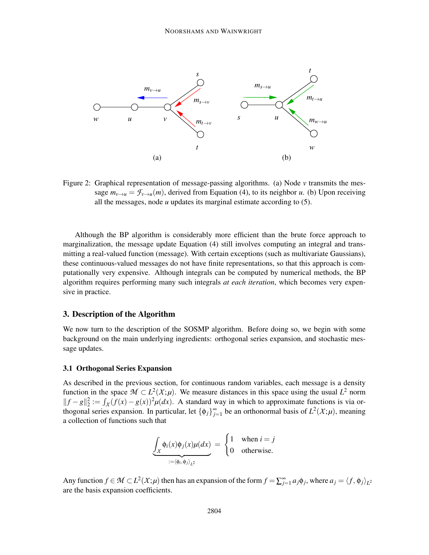

Figure 2: Graphical representation of message-passing algorithms. (a) Node *v* transmits the message  $m_{v\to u} = \mathcal{F}_{v\to u}(m)$ , derived from Equation (4), to its neighbor *u*. (b) Upon receiving all the messages, node *u* updates its marginal estimate according to (5).

Although the BP algorithm is considerably more efficient than the brute force approach to marginalization, the message update Equation (4) still involves computing an integral and transmitting a real-valued function (message). With certain exceptions (such as multivariate Gaussians), these continuous-valued messages do not have finite representations, so that this approach is computationally very expensive. Although integrals can be computed by numerical methods, the BP algorithm requires performing many such integrals *at each iteration*, which becomes very expensive in practice.

## 3. Description of the Algorithm

We now turn to the description of the SOSMP algorithm. Before doing so, we begin with some background on the main underlying ingredients: orthogonal series expansion, and stochastic message updates.

### 3.1 Orthogonal Series Expansion

As described in the previous section, for continuous random variables, each message is a density function in the space  $M \subset L^2(\mathcal{X}; \mu)$ . We measure distances in this space using the usual  $L^2$  norm  $||f - g||_2^2 := \int_X (f(x) - g(x))^2 \mu(dx)$ . A standard way in which to approximate functions is via orthogonal series expansion. In particular, let  ${\phi_j}_{j=1}^{\infty}$  be an orthonormal basis of  $L^2(\mathcal{X}; \mu)$ , meaning a collection of functions such that

$$
\underbrace{\int_{\mathcal{X}} \phi_i(x) \phi_j(x) \mu(dx)}_{:=\langle \phi_i, \phi_j \rangle_{L^2}} = \begin{cases} 1 & \text{when } i = j \\ 0 & \text{otherwise.} \end{cases}
$$

Any function  $f \in M \subset L^2(\mathcal{X}; \mu)$  then has an expansion of the form  $f = \sum_{j=1}^{\infty} a_j \phi_j$ , where  $a_j = \langle f, \phi_j \rangle_{L^2}$ are the basis expansion coefficients.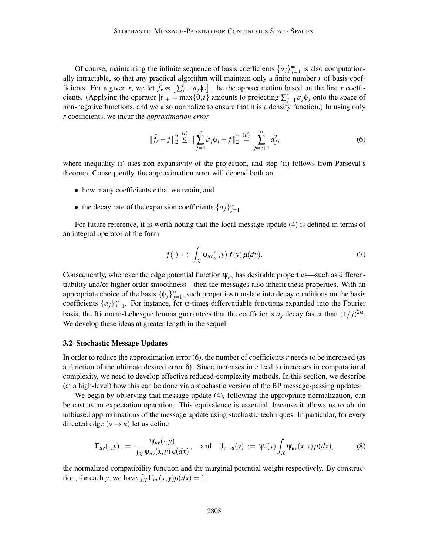Of course, maintaining the infinite sequence of basis coefficients  $\{a_j\}_{j=1}^{\infty}$  is also computationally intractable, so that any practical algorithm will maintain only a finite number *r* of basis coefficients. For a given *r*, we let  $\hat{f}_r \propto \left[\sum_{j=1}^r a_j \phi_j\right]_+$  be the approximation based on the first *r* coefficients. (Applying the operator  $[t]_+ = \max\{0, t\}$  amounts to projecting  $\sum_{j=1}^r a_j \phi_j$  onto the space of non-negative functions, and we also normalize to ensure that it is a density function.) In using only *r* coefficients, we incur the *approximation error*

$$
\|\widehat{f}_r - f\|_2^2 \stackrel{(i)}{\leq} \|\sum_{j=1}^r a_j \phi_j - f\|_2^2 \stackrel{(ii)}{=} \sum_{j=r+1}^\infty a_j^2,
$$
\n(6)

where inequality (i) uses non-expansivity of the projection, and step (ii) follows from Parseval's theorem. Consequently, the approximation error will depend both on

- how many coefficients *r* that we retain, and
- the decay rate of the expansion coefficients  $\{a_j\}_{j=1}^{\infty}$ .

For future reference, it is worth noting that the local message update (4) is defined in terms of an integral operator of the form

$$
f(\cdot) \mapsto \int_X \Psi_{uv}(\cdot, y) f(y) \mu(dy). \tag{7}
$$

Consequently, whenever the edge potential function  $\psi_{uv}$  has desirable properties—such as differentiability and/or higher order smoothness—then the messages also inherit these properties. With an appropriate choice of the basis  $\{\phi_j\}_{j=1}^{\infty}$ , such properties translate into decay conditions on the basis coefficients  $\{a_j\}_{j=1}^{\infty}$ . For instance, for  $\alpha$ -times differentiable functions expanded into the Fourier basis, the Riemann-Lebesgue lemma guarantees that the coefficients  $a_j$  decay faster than  $(1/j)^{2\alpha}$ . We develop these ideas at greater length in the sequel.

#### 3.2 Stochastic Message Updates

In order to reduce the approximation error (6), the number of coefficients *r* needs to be increased (as a function of the ultimate desired error  $\delta$ ). Since increases in *r* lead to increases in computational complexity, we need to develop effective reduced-complexity methods. In this section, we describe (at a high-level) how this can be done via a stochastic version of the BP message-passing updates.

We begin by observing that message update (4), following the appropriate normalization, can be cast as an expectation operation. This equivalence is essential, because it allows us to obtain unbiased approximations of the message update using stochastic techniques. In particular, for every directed edge  $(v \rightarrow u)$  let us define

$$
\Gamma_{uv}(\cdot,y) := \frac{\Psi_{uv}(\cdot,y)}{\int_X \Psi_{uv}(x,y)\,\mu(dx)}, \quad \text{and} \quad \beta_{v\to u}(y) := \Psi_v(y)\int_X \Psi_{uv}(x,y)\,\mu(dx), \tag{8}
$$

the normalized compatibility function and the marginal potential weight respectively. By construction, for each *y*, we have  $\int_{\mathcal{X}} \Gamma_{uv}(x, y) \mu(dx) = 1$ .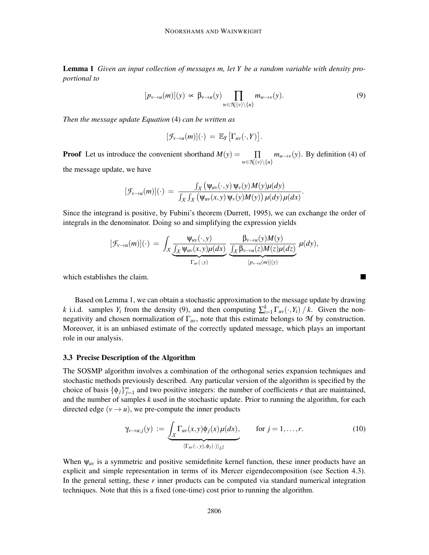Lemma 1 *Given an input collection of messages m, let Y be a random variable with density proportional to*

$$
[p_{v \to u}(m)](y) \propto \beta_{v \to u}(y) \prod_{w \in \mathcal{N}(v) \setminus \{u\}} m_{w \to v}(y).
$$
 (9)

.

 $\blacksquare$ 

*Then the message update Equation* (4) *can be written as*

$$
[\mathcal{F}_{v\to u}(m)](\cdot) = \mathbb{E}_Y[\Gamma_{uv}(\cdot,Y)].
$$

**Proof** Let us introduce the convenient shorthand  $M(y) =$  $w \in \mathcal{N}(v) \setminus \{u\}$  $\Pi$  *m*<sub>*w*→*v*</sub>(*y*). By definition (4) of

the message update, we have

$$
[\mathcal{F}_{v\to u}(m)](\cdot) = \frac{\int_X (\psi_{uv}(\cdot,y) \psi_v(y) M(y) \mu(dy)}{\int_X \int_X (\psi_{uv}(x,y) \psi_v(y) M(y)) \mu(dy) \mu(dx)}
$$

Since the integrand is positive, by Fubini's theorem (Durrett, 1995), we can exchange the order of integrals in the denominator. Doing so and simplifying the expression yields

$$
[\mathcal{F}_{\nu \to u}(m)](\cdot) = \int_X \underbrace{\frac{\Psi_{uv}(\cdot, y)}{\int_X \Psi_{uv}(x, y) \mu(dx)}}_{\Gamma_{uv}(\cdot, y)} \underbrace{\frac{\beta_{\nu \to u}(y) M(y)}{\int_X \beta_{\nu \to u}(z) M(z) \mu(dz)}}_{[p_{\nu \to u}(m)](y)} \mu(dy),
$$

which establishes the claim.

Based on Lemma 1, we can obtain a stochastic approximation to the message update by drawing *k* i.i.d. samples *Y<sub>i</sub>* from the density (9), and then computing  $\sum_{i=1}^{k} \Gamma_{uv}(\cdot, Y_i) / k$ . Given the nonnegativity and chosen normalization of  $\Gamma_{uv}$ , note that this estimate belongs to M by construction. Moreover, it is an unbiased estimate of the correctly updated message, which plays an important role in our analysis.

## 3.3 Precise Description of the Algorithm

The SOSMP algorithm involves a combination of the orthogonal series expansion techniques and stochastic methods previously described. Any particular version of the algorithm is specified by the choice of basis  $\{\phi_j\}_{j=1}^{\infty}$  and two positive integers: the number of coefficients *r* that are maintained, and the number of samples *k* used in the stochastic update. Prior to running the algorithm, for each directed edge ( $v \rightarrow u$ ), we pre-compute the inner products

$$
\gamma_{\nu \to u;j}(y) := \underbrace{\int_{\mathcal{X}} \Gamma_{uv}(x,y) \phi_j(x) \mu(dx)}_{\langle \Gamma_{uv}(\cdot, y), \phi_j(\cdot) \rangle_{L^2}}, \quad \text{for } j = 1, \dots, r. \tag{10}
$$

When  $\psi_{uv}$  is a symmetric and positive semidefinite kernel function, these inner products have an explicit and simple representation in terms of its Mercer eigendecomposition (see Section 4.3). In the general setting, these *r* inner products can be computed via standard numerical integration techniques. Note that this is a fixed (one-time) cost prior to running the algorithm.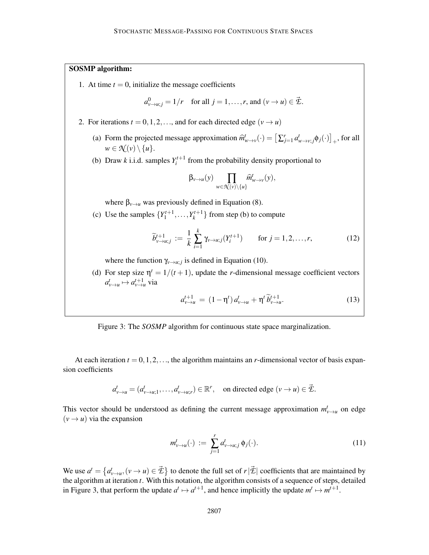## SOSMP algorithm:

1. At time  $t = 0$ , initialize the message coefficients

$$
a_{\nu \to u;j}^0 = 1/r
$$
 for all  $j = 1, ..., r$ , and  $(\nu \to u) \in \mathcal{Z}$ .

- 2. For iterations  $t = 0, 1, 2, \ldots$ , and for each directed edge  $(v \rightarrow u)$ 
	- (a) Form the projected message approximation  $\hat{m}_{w \to v}^t$  (·) =  $[\sum_{j=1}^r a_{w \to v;j}^t \phi_j(\cdot)]_+$ , for all  $w \in \mathcal{N}(v) \setminus \{u\}.$
	- (b) Draw *k* i.i.d. samples  $Y_i^{t+1}$  from the probability density proportional to

$$
\beta_{\nu \to u}(y) \prod_{w \in \mathcal{K}(\nu) \setminus \{u\}} \widehat{m}^t_{w \to \nu}(y),
$$

where  $\beta_{\nu \to u}$  was previously defined in Equation (8).

(c) Use the samples  $\{Y_1^{t+1}, \ldots, Y_k^{t+1}\}$  from step (b) to compute

$$
\widetilde{b}_{\nu \to u;j}^{t+1} := \frac{1}{k} \sum_{i=1}^{k} \gamma_{\nu \to u;j}(Y_i^{t+1}) \qquad \text{for } j = 1, 2, \dots, r,
$$
 (12)

where the function  $\gamma_{v \to u;j}$  is defined in Equation (10).

(d) For step size  $\eta^t = 1/(t+1)$ , update the *r*-dimensional message coefficient vectors  $a_{v\rightarrow u}^t \mapsto a_{v\rightarrow u}^{t+1}$  via

$$
a_{v \to u}^{t+1} = (1 - \eta^t) a_{v \to u}^t + \eta^t \tilde{b}_{v \to u}^{t+1}.
$$
 (13)

Figure 3: The *SOSMP* algorithm for continuous state space marginalization.

At each iteration  $t = 0, 1, 2, \ldots$ , the algorithm maintains an *r*-dimensional vector of basis expansion coefficients

$$
a_{\nu \to u}^t = (a_{\nu \to u;1}^t, \dots, a_{\nu \to u;r}^t) \in \mathbb{R}^r, \text{ on directed edge } (\nu \to u) \in \vec{\mathcal{E}}.
$$

This vector should be understood as defining the current message approximation  $m_{v\rightarrow u}^t$  on edge  $(v \rightarrow u)$  via the expansion

$$
m_{\nu \to u}^t(\cdot) := \sum_{j=1}^r a_{\nu \to u;j}^t \phi_j(\cdot). \tag{11}
$$

We use  $a^t = \{a^t_{v\to u}, (v \to u) \in \vec{\mathcal{L}}\}$  to denote the full set of  $r|\vec{\mathcal{L}}|$  coefficients that are maintained by the algorithm at iteration *t*. With this notation, the algorithm consists of a sequence of steps, detailed in Figure 3, that perform the update  $a^t \mapsto a^{t+1}$ , and hence implicitly the update  $m^t \mapsto m^{t+1}$ .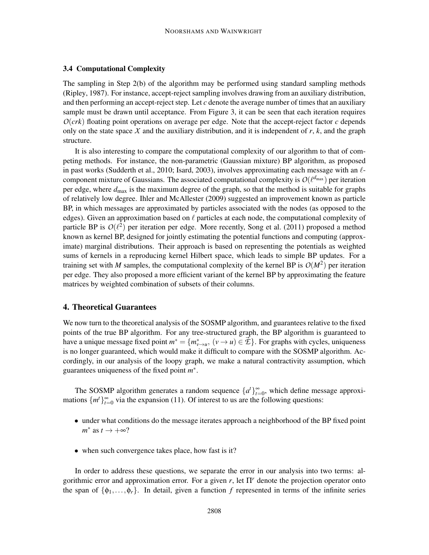## 3.4 Computational Complexity

The sampling in Step 2(b) of the algorithm may be performed using standard sampling methods (Ripley, 1987). For instance, accept-reject sampling involves drawing from an auxiliary distribution, and then performing an accept-reject step. Let *c* denote the average number of times that an auxiliary sample must be drawn until acceptance. From Figure 3, it can be seen that each iteration requires *O*(*crk*) floating point operations on average per edge. Note that the accept-reject factor *c* depends only on the state space  $X$  and the auxiliary distribution, and it is independent of  $r$ ,  $k$ , and the graph structure.

It is also interesting to compare the computational complexity of our algorithm to that of competing methods. For instance, the non-parametric (Gaussian mixture) BP algorithm, as proposed in past works (Sudderth et al., 2010; Isard, 2003), involves approximating each message with an  $\ell$ component mixture of Gaussians. The associated computational complexity is  $O(\ell^{d_{\max}})$  per iteration per edge, where *d*max is the maximum degree of the graph, so that the method is suitable for graphs of relatively low degree. Ihler and McAllester (2009) suggested an improvement known as particle BP, in which messages are approximated by particles associated with the nodes (as opposed to the edges). Given an approximation based on  $\ell$  particles at each node, the computational complexity of particle BP is  $O(\ell^2)$  per iteration per edge. More recently, Song et al. (2011) proposed a method known as kernel BP, designed for jointly estimating the potential functions and computing (approximate) marginal distributions. Their approach is based on representing the potentials as weighted sums of kernels in a reproducing kernel Hilbert space, which leads to simple BP updates. For a training set with *M* samples, the computational complexity of the kernel BP is  $O(M^2)$  per iteration per edge. They also proposed a more efficient variant of the kernel BP by approximating the feature matrices by weighted combination of subsets of their columns.

## 4. Theoretical Guarantees

We now turn to the theoretical analysis of the SOSMP algorithm, and guarantees relative to the fixed points of the true BP algorithm. For any tree-structured graph, the BP algorithm is guaranteed to have a unique message fixed point  $m^* = \{m^*_{v \to u}, (v \to u) \in \mathcal{Z}\}\.$  For graphs with cycles, uniqueness is no longer guaranteed, which would make it difficult to compare with the SOSMP algorithm. Accordingly, in our analysis of the loopy graph, we make a natural contractivity assumption, which guarantees uniqueness of the fixed point *m* ∗ .

The SOSMP algorithm generates a random sequence  $\{a^t\}_{t=0}^{\infty}$ , which define message approximations  $\{m^t\}_{t=0}^{\infty}$  via the expansion (11). Of interest to us are the following questions:

- under what conditions do the message iterates approach a neighborhood of the BP fixed point  $m^*$  as  $t \to +\infty$ ?
- when such convergence takes place, how fast is it?

In order to address these questions, we separate the error in our analysis into two terms: algorithmic error and approximation error. For a given *r*, let Π*<sup>r</sup>* denote the projection operator onto the span of  $\{\phi_1,\ldots,\phi_r\}$ . In detail, given a function *f* represented in terms of the infinite series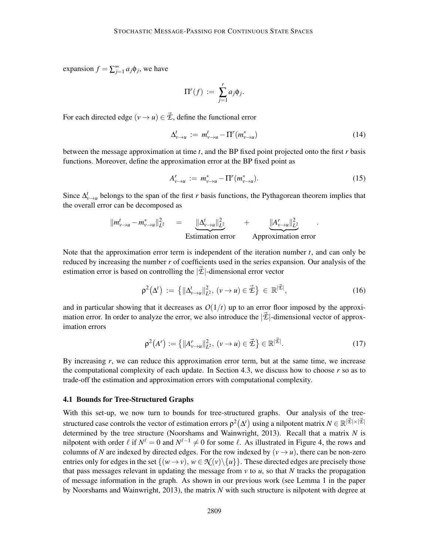expansion  $f = \sum_{j=1}^{\infty} a_j \phi_j$ , we have

$$
\Pi^r(f) := \sum_{j=1}^r a_j \phi_j.
$$

For each directed edge  $(v \rightarrow u) \in \vec{\mathcal{L}}$ , define the functional error

$$
\Delta_{\nu \to u}^t := m_{\nu \to u}^t - \Pi^r(m_{\nu \to u}^*) \tag{14}
$$

between the message approximation at time *t*, and the BP fixed point projected onto the first *r* basis functions. Moreover, define the approximation error at the BP fixed point as

$$
A_{\nu \to u}^r := m_{\nu \to u}^* - \Pi^r(m_{\nu \to u}^*).
$$
 (15)

Since  $\Delta_{\nu\to u}^t$  belongs to the span of the first *r* basis functions, the Pythagorean theorem implies that the overall error can be decomposed as

$$
||m_{v\to u}^t - m_{v\to u}^*||_{L^2}^2 = \underbrace{||\Delta_{v\to u}^t||_{L^2}^2}_{\text{Estimation error}} + \underbrace{||A_{v\to u}^r||_{L^2}^2}_{\text{Approximation error}}.
$$

Note that the approximation error term is independent of the iteration number *t*, and can only be reduced by increasing the number *r* of coefficients used in the series expansion. Our analysis of the estimation error is based on controlling the  $|\vec{\mathcal{L}}|$ -dimensional error vector

$$
\rho^2(\Delta^t) := \left\{ \|\Delta^t_{v \to u}\|_{L^2}^2, \, (v \to u) \in \vec{\mathcal{I}} \right\} \in \mathbb{R}^{|\vec{\mathcal{I}}|},\tag{16}
$$

and in particular showing that it decreases as  $O(1/t)$  up to an error floor imposed by the approximation error. In order to analyze the error, we also introduce the  $|\vec{\mathcal{L}}|$ -dimensional vector of approximation errors

$$
\rho^{2}(A^{r}) := \left\{ ||A^{r}_{\nu \to u}||^{2}_{L^{2}}, \, (\nu \to u) \in \vec{\mathcal{E}} \right\} \in \mathbb{R}^{|\vec{\mathcal{E}}|}.
$$
 (17)

By increasing *r*, we can reduce this approximation error term, but at the same time, we increase the computational complexity of each update. In Section 4.3, we discuss how to choose *r* so as to trade-off the estimation and approximation errors with computational complexity.

#### 4.1 Bounds for Tree-Structured Graphs

With this set-up, we now turn to bounds for tree-structured graphs. Our analysis of the treestructured case controls the vector of estimation errors  $\rho^2(\Delta^t)$  using a nilpotent matrix  $N \in \mathbb{R}^{|\vec{\mathcal{I}}|\times|\vec{\mathcal{I}}|}$ determined by the tree structure (Noorshams and Wainwright, 2013). Recall that a matrix *N* is nilpotent with order  $\ell$  if  $N^{\ell} = 0$  and  $N^{\ell-1} \neq 0$  for some  $\ell$ . As illustrated in Figure 4, the rows and columns of *N* are indexed by directed edges. For the row indexed by  $(v \rightarrow u)$ , there can be non-zero entries only for edges in the set  $\{(w \rightarrow v), w \in \mathcal{N}(v) \setminus \{u\}\}\.$  These directed edges are precisely those that pass messages relevant in updating the message from  $\nu$  to  $\mu$ , so that  $N$  tracks the propagation of message information in the graph. As shown in our previous work (see Lemma 1 in the paper by Noorshams and Wainwright, 2013), the matrix *N* with such structure is nilpotent with degree at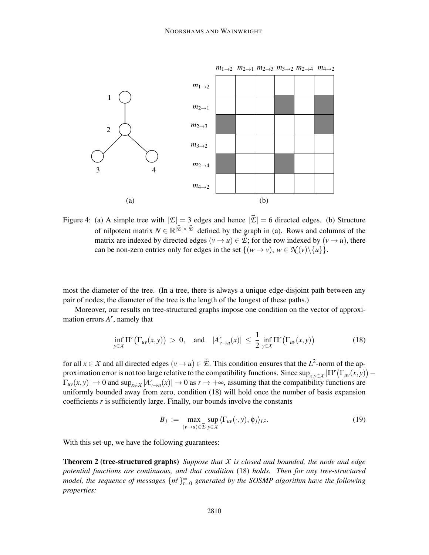

Figure 4: (a) A simple tree with  $|\mathcal{E}| = 3$  edges and hence  $|\vec{\mathcal{E}}| = 6$  directed edges. (b) Structure of nilpotent matrix  $N \in \mathbb{R}^{|\vec{\mathcal{L}}| \times |\vec{\mathcal{L}}|}$  defined by the graph in (a). Rows and columns of the matrix are indexed by directed edges  $(v \rightarrow u) \in \vec{E}$ ; for the row indexed by  $(v \rightarrow u)$ , there can be non-zero entries only for edges in the set  $\{(w \rightarrow v), w \in \mathcal{R}(v) \setminus \{u\}\}.$ 

most the diameter of the tree. (In a tree, there is always a unique edge-disjoint path between any pair of nodes; the diameter of the tree is the length of the longest of these paths.)

Moreover, our results on tree-structured graphs impose one condition on the vector of approximation errors *A r* , namely that

$$
\inf_{y \in \mathcal{X}} \Pi^r \big( \Gamma_{uv}(x, y) \big) > 0, \quad \text{and} \quad |A^r_{v \to u}(x)| \le \frac{1}{2} \inf_{y \in \mathcal{X}} \Pi^r \big( \Gamma_{uv}(x, y) \big) \tag{18}
$$

for all  $x \in X$  and all directed edges  $(v \to u) \in \vec{\mathcal{L}}$ . This condition ensures that the  $L^2$ -norm of the approximation error is not too large relative to the compatibility functions. Since  $\sup_{x,y\in X}|\Pi^{r}(\Gamma_{uv}(x,y)) \Gamma_{uv}(x, y) \rightarrow 0$  and  $\sup_{x \in \mathcal{X}} |A^r_{v \to u}(x)| \rightarrow 0$  as  $r \rightarrow +\infty$ , assuming that the compatibility functions are uniformly bounded away from zero, condition (18) will hold once the number of basis expansion coefficients *r* is sufficiently large. Finally, our bounds involve the constants

$$
B_j := \max_{(\nu \to u) \in \vec{\mathcal{E}}} \sup_{y \in \mathcal{X}} \langle \Gamma_{uv}(\cdot, y), \phi_j \rangle_{L^2}.
$$
 (19)

With this set-up, we have the following guarantees:

Theorem 2 (tree-structured graphs) *Suppose that X is closed and bounded, the node and edge potential functions are continuous, and that condition* (18) *holds. Then for any tree-structured model, the sequence of messages*  $\{m^t\}_{t=0}^{\infty}$  generated by the SOSMP algorithm have the following *properties:*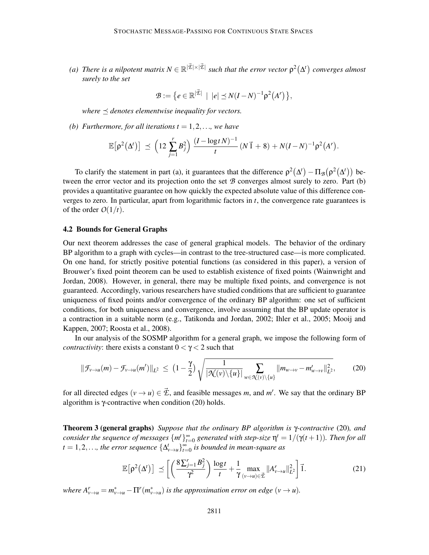(a) There is a nilpotent matrix  $N \in \mathbb{R}^{|\vec{\mathcal{I}}|\times|\vec{\mathcal{I}}|}$  such that the error vector  $\rho^2(\Delta^t)$  converges almost *surely to the set*

$$
\mathcal{B} := \big\{ e \in \mathbb{R}^{|\vec{\mathcal{L}}|} \mid |e| \preceq N(I-N)^{-1} \rho^2(A^r) \big\},
$$

*where*  $\preceq$  *denotes elementwise inequality for vectors.* 

*(b) Furthermore, for all iterations*  $t = 1, 2, \ldots$ *, we have* 

$$
\mathbb{E}[\rho^2(\Delta^t)] \preceq \left(12 \sum_{j=1}^r B_j^2\right) \frac{(I - \log t N)^{-1}}{t} (N \vec{1} + 8) + N(I - N)^{-1} \rho^2(A^r).
$$

To clarify the statement in part (a), it guarantees that the difference  $\rho^2(\Delta^t) - \Pi_{\mathcal{B}}(\rho^2(\Delta^t))$  between the error vector and its projection onto the set *B* converges almost surely to zero. Part (b) provides a quantitative guarantee on how quickly the expected absolute value of this difference converges to zero. In particular, apart from logarithmic factors in *t*, the convergence rate guarantees is of the order  $O(1/t)$ .

#### 4.2 Bounds for General Graphs

Our next theorem addresses the case of general graphical models. The behavior of the ordinary BP algorithm to a graph with cycles—in contrast to the tree-structured case—is more complicated. On one hand, for strictly positive potential functions (as considered in this paper), a version of Brouwer's fixed point theorem can be used to establish existence of fixed points (Wainwright and Jordan, 2008). However, in general, there may be multiple fixed points, and convergence is not guaranteed. Accordingly, various researchers have studied conditions that are sufficient to guarantee uniqueness of fixed points and/or convergence of the ordinary BP algorithm: one set of sufficient conditions, for both uniqueness and convergence, involve assuming that the BP update operator is a contraction in a suitable norm (e.g., Tatikonda and Jordan, 2002; Ihler et al., 2005; Mooij and Kappen, 2007; Roosta et al., 2008).

In our analysis of the SOSMP algorithm for a general graph, we impose the following form of *contractivity:* there exists a constant  $0 < \gamma < 2$  such that

$$
\|\mathcal{F}_{\nu\to u}(m)-\mathcal{F}_{\nu\to u}(m')\|_{L^2}\,\leq\,\left(1-\frac{\gamma}{2}\right)\sqrt{\frac{1}{|\mathcal{N}(\nu)\backslash\{u\}|}\sum_{w\in\mathcal{N}(\nu)\backslash\{u\}}||m_{w\to v}-m'_{w\to v}||_{L^2}^2},\qquad(20)
$$

for all directed edges  $(v \to u) \in \vec{\mathcal{L}}$ , and feasible messages *m*, and *m'*. We say that the ordinary BP algorithm is γ-contractive when condition  $(20)$  holds.

Theorem 3 (general graphs) *Suppose that the ordinary BP algorithm is* γ*-contractive* (20)*, and consider the sequence of messages*  $\{m^t\}_{t=0}^{\infty}$  generated with step-size  $\eta^t = 1/(\gamma(t+1))$ . Then for all  $t = 1, 2, \ldots$ , the error sequence  $\{\Delta^t_{v \to u}\}_{t=0}^{\infty}$  is bounded in mean-square as

$$
\mathbb{E}\left[\rho^2(\Delta^t)\right] \preceq \left[ \left(\frac{8\sum_{j=1}^r B_j^2}{\gamma^2}\right) \frac{\log t}{t} + \frac{1}{\gamma} \max_{(\nu \to u) \in \vec{\mathcal{E}}} ||A^r_{\nu \to u}||_{L^2}^2 \right] \vec{1}.
$$
 (21)

*where*  $A^{r}_{v\to u} = m^{*}_{v\to u} - \Pi^{r}(m^{*}_{v\to u})$  *is the approximation error on edge*  $(v \to u)$ *.*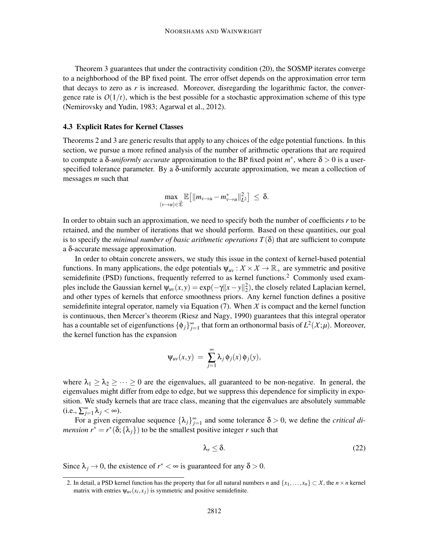Theorem 3 guarantees that under the contractivity condition (20), the SOSMP iterates converge to a neighborhood of the BP fixed point. The error offset depends on the approximation error term that decays to zero as  $r$  is increased. Moreover, disregarding the logarithmic factor, the convergence rate is  $O(1/t)$ , which is the best possible for a stochastic approximation scheme of this type (Nemirovsky and Yudin, 1983; Agarwal et al., 2012).

## 4.3 Explicit Rates for Kernel Classes

Theorems 2 and 3 are generic results that apply to any choices of the edge potential functions. In this section, we pursue a more refined analysis of the number of arithmetic operations that are required to compute a δ-*uniformly accurate* approximation to the BP fixed point  $m^*$ , where  $\delta > 0$  is a userspecified tolerance parameter. By a  $\delta$ -uniformly accurate approximation, we mean a collection of messages *m* such that

$$
\max_{(\nu \to u) \in \vec{\mathcal{E}}} \mathbb{E}\big[\|m_{\nu \to u} - m_{\nu \to u}^*\|_{L^2}^2\big] \leq \delta.
$$

In order to obtain such an approximation, we need to specify both the number of coefficients *r* to be retained, and the number of iterations that we should perform. Based on these quantities, our goal is to specify the *minimal number of basic arithmetic operations*  $T(\delta)$  that are sufficient to compute a δ-accurate message approximation.

In order to obtain concrete answers, we study this issue in the context of kernel-based potential functions. In many applications, the edge potentials  $\psi_{uv}: \mathcal{X} \times \mathcal{X} \to \mathbb{R}_+$  are symmetric and positive semidefinite (PSD) functions, frequently referred to as kernel functions.<sup>2</sup> Commonly used examples include the Gaussian kernel  $\psi_{uv}(x, y) = \exp(-\gamma ||x - y||_2^2)$ , the closely related Laplacian kernel, and other types of kernels that enforce smoothness priors. Any kernel function defines a positive semidefinite integral operator, namely via Equation  $(7)$ . When  $X$  is compact and the kernel function is continuous, then Mercer's theorem (Riesz and Nagy, 1990) guarantees that this integral operator has a countable set of eigenfunctions  $\{\phi_j\}_{j=1}^{\infty}$  that form an orthonormal basis of  $L^2(\mathcal{X};\mu)$ . Moreover, the kernel function has the expansion

$$
\Psi_{uv}(x,y) = \sum_{j=1}^{\infty} \lambda_j \phi_j(x) \phi_j(y),
$$

where  $\lambda_1 \geq \lambda_2 \geq \cdots \geq 0$  are the eigenvalues, all guaranteed to be non-negative. In general, the eigenvalues might differ from edge to edge, but we suppress this dependence for simplicity in exposition. We study kernels that are trace class, meaning that the eigenvalues are absolutely summable  $(i.e., \sum_{j=1}^{\infty} \lambda_j < \infty).$ 

For a given eigenvalue sequence  $\{\lambda_j\}_{j=1}^{\infty}$  and some tolerance  $\delta > 0$ , we define the *critical dimension*  $r^* = r^*(\delta; {\lambda_j})$  to be the smallest positive integer *r* such that

$$
\lambda_r \leq \delta. \tag{22}
$$

Since  $\lambda_j \to 0$ , the existence of  $r^* < \infty$  is guaranteed for any  $\delta > 0$ .

<sup>2.</sup> In detail, a PSD kernel function has the property that for all natural numbers *n* and  $\{x_1, \ldots, x_n\} \subset X$ , the  $n \times n$  kernel matrix with entries  $\psi_{uv}(x_i, x_j)$  is symmetric and positive semidefinite.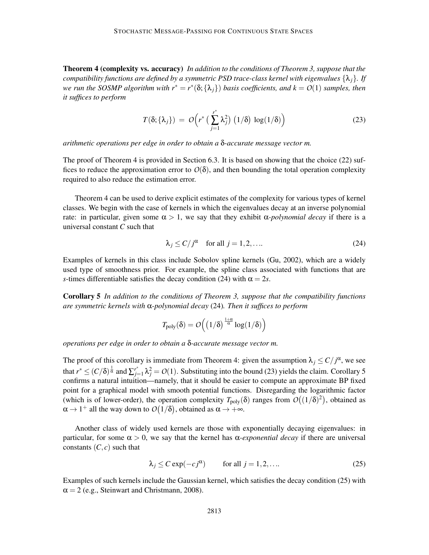Theorem 4 (complexity vs. accuracy) *In addition to the conditions of Theorem 3, suppose that the compatibility functions are defined by a symmetric PSD trace-class kernel with eigenvalues*  $\{\lambda_i\}$ *. If we run the SOSMP algorithm with r*∗ = *r* ∗ (δ;{λ*j*}) *basis coefficients, and k* = *O*(1) *samples, then it suffices to perform*

$$
T(\delta; \{\lambda_j\}) = O\Big(r^* \big(\sum_{j=1}^{r^*} \lambda_j^2\big) \left(1/\delta\right) \log(1/\delta)\Big)
$$
 (23)

*arithmetic operations per edge in order to obtain a* δ*-accurate message vector m.*

The proof of Theorem 4 is provided in Section 6.3. It is based on showing that the choice (22) suffices to reduce the approximation error to  $O(\delta)$ , and then bounding the total operation complexity required to also reduce the estimation error.

Theorem 4 can be used to derive explicit estimates of the complexity for various types of kernel classes. We begin with the case of kernels in which the eigenvalues decay at an inverse polynomial rate: in particular, given some  $\alpha > 1$ , we say that they exhibit  $\alpha$ -polynomial decay if there is a universal constant *C* such that

$$
\lambda_j \le C / j^{\alpha} \quad \text{for all } j = 1, 2, \dots \tag{24}
$$

Examples of kernels in this class include Sobolov spline kernels (Gu, 2002), which are a widely used type of smoothness prior. For example, the spline class associated with functions that are *s*-times differentiable satisfies the decay condition (24) with  $\alpha = 2s$ .

Corollary 5 *In addition to the conditions of Theorem 3, suppose that the compatibility functions are symmetric kernels with* α*-polynomial decay* (24)*. Then it suffices to perform*

$$
\mathit{T}_{poly}(\delta) = \mathit{O}\Big(\big(1/\delta\big)^{\frac{1+\alpha}{\alpha}}\log(1/\delta)\Big)
$$

*operations per edge in order to obtain a* δ*-accurate message vector m.*

The proof of this corollary is immediate from Theorem 4: given the assumption  $\lambda_j \leq C/j^{\alpha}$ , we see that  $r^* \le (C/\delta)^{\frac{1}{\alpha}}$  and  $\sum_{j=1}^{r^*} \lambda_j^2 = O(1)$ . Substituting into the bound (23) yields the claim. Corollary 5 confirms a natural intuition—namely, that it should be easier to compute an approximate BP fixed point for a graphical model with smooth potential functions. Disregarding the logarithmic factor (which is of lower-order), the operation complexity  $T_{\text{poly}}(\delta)$  ranges from  $O((1/\delta)^2)$ , obtained as  $\alpha \rightarrow 1^+$  all the way down to  $O(1/\delta)$ , obtained as  $\alpha \rightarrow +\infty$ .

Another class of widely used kernels are those with exponentially decaying eigenvalues: in particular, for some α > 0, we say that the kernel has α*-exponential decay* if there are universal constants  $(C, c)$  such that

$$
\lambda_j \le C \exp(-c j^{\alpha}) \qquad \text{for all } j = 1, 2, .... \tag{25}
$$

Examples of such kernels include the Gaussian kernel, which satisfies the decay condition (25) with  $\alpha = 2$  (e.g., Steinwart and Christmann, 2008).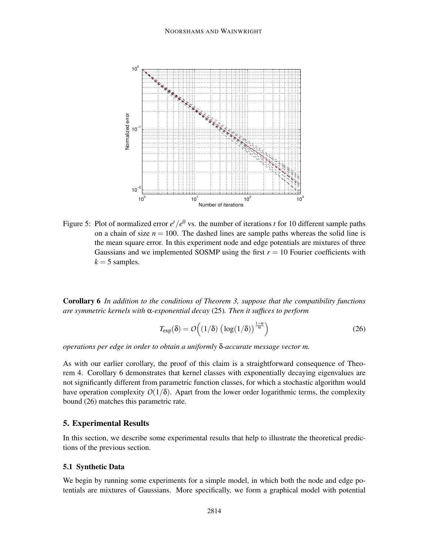

Figure 5: Plot of normalized error  $e^t/e^0$  vs. the number of iterations *t* for 10 different sample paths on a chain of size  $n = 100$ . The dashed lines are sample paths whereas the solid line is the mean square error. In this experiment node and edge potentials are mixtures of three Gaussians and we implemented SOSMP using the first  $r = 10$  Fourier coefficients with  $k = 5$  samples.

Corollary 6 *In addition to the conditions of Theorem 3, suppose that the compatibility functions are symmetric kernels with* α*-exponential decay* (25)*. Then it suffices to perform*

$$
T_{\exp}(\delta) = O\Big((1/\delta) \left(\log(1/\delta)\right)^{\frac{1+\alpha}{\alpha}}\Big) \tag{26}
$$

*operations per edge in order to obtain a uniformly* δ*-accurate message vector m.*

As with our earlier corollary, the proof of this claim is a straightforward consequence of Theorem 4. Corollary 6 demonstrates that kernel classes with exponentially decaying eigenvalues are not significantly different from parametric function classes, for which a stochastic algorithm would have operation complexity  $O(1/\delta)$ . Apart from the lower order logarithmic terms, the complexity bound (26) matches this parametric rate.

### 5. Experimental Results

In this section, we describe some experimental results that help to illustrate the theoretical predictions of the previous section.

## 5.1 Synthetic Data

We begin by running some experiments for a simple model, in which both the node and edge potentials are mixtures of Gaussians. More specifically, we form a graphical model with potential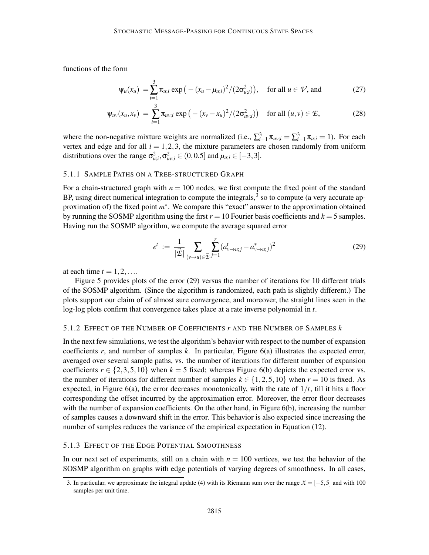functions of the form

$$
\psi_u(x_u) = \sum_{i=1}^3 \pi_{u;i} \exp\left(-\left(x_u - \mu_{u;i}\right)^2 / (2\sigma_{u;i}^2)\right), \text{ for all } u \in \mathcal{V}, \text{ and } (27)
$$

$$
\Psi_{uv}(x_u, x_v) = \sum_{i=1}^3 \pi_{uv;i} \exp\left(-(x_v - x_u)^2/(2\sigma_{uv;i}^2)\right) \text{ for all } (u, v) \in \mathcal{E},
$$
 (28)

where the non-negative mixture weights are normalized (i.e.,  $\sum_{i=1}^{3} \pi_{uv;i} = \sum_{i=1}^{3} \pi_{u;i} = 1$ ). For each vertex and edge and for all  $i = 1, 2, 3$ , the mixture parameters are chosen randomly from uniform distributions over the range  $\sigma_{u;i}^2$ ,  $\sigma_{uv;i}^2 \in (0,0.5]$  and  $\mu_{u;i} \in [-3,3]$ .

### 5.1.1 SAMPLE PATHS ON A TREE-STRUCTURED GRAPH

For a chain-structured graph with  $n = 100$  nodes, we first compute the fixed point of the standard BP, using direct numerical integration to compute the integrals, $3$  so to compute (a very accurate approximation of) the fixed point  $m^*$ . We compare this "exact" answer to the approximation obtained by running the SOSMP algorithm using the first  $r = 10$  Fourier basis coefficients and  $k = 5$  samples. Having run the SOSMP algorithm, we compute the average squared error

$$
e^{t} := \frac{1}{|\vec{\mathcal{L}}|} \sum_{(\nu \to u) \in \vec{\mathcal{L}}} \sum_{j=1}^{r} (a^{t}_{\nu \to u; j} - a^{*}_{\nu \to u; j})^{2}
$$
(29)

at each time  $t = 1, 2, \ldots$ 

Figure 5 provides plots of the error (29) versus the number of iterations for 10 different trials of the SOSMP algorithm. (Since the algorithm is randomized, each path is slightly different.) The plots support our claim of of almost sure convergence, and moreover, the straight lines seen in the log-log plots confirm that convergence takes place at a rate inverse polynomial in *t*.

#### 5.1.2 EFFECT OF THE NUMBER OF COEFFICIENTS *r* AND THE NUMBER OF SAMPLES *k*

In the next few simulations, we test the algorithm's behavior with respect to the number of expansion coefficients *r*, and number of samples *k*. In particular, Figure 6(a) illustrates the expected error, averaged over several sample paths, vs. the number of iterations for different number of expansion coefficients  $r \in \{2,3,5,10\}$  when  $k = 5$  fixed; whereas Figure 6(b) depicts the expected error vs. the number of iterations for different number of samples  $k \in \{1, 2, 5, 10\}$  when  $r = 10$  is fixed. As expected, in Figure 6(a), the error decreases monotonically, with the rate of  $1/t$ , till it hits a floor corresponding the offset incurred by the approximation error. Moreover, the error floor decreases with the number of expansion coefficients. On the other hand, in Figure 6(b), increasing the number of samples causes a downward shift in the error. This behavior is also expected since increasing the number of samples reduces the variance of the empirical expectation in Equation (12).

#### 5.1.3 EFFECT OF THE EDGE POTENTIAL SMOOTHNESS

In our next set of experiments, still on a chain with  $n = 100$  vertices, we test the behavior of the SOSMP algorithm on graphs with edge potentials of varying degrees of smoothness. In all cases,

<sup>3.</sup> In particular, we approximate the integral update (4) with its Riemann sum over the range *X* = [−5,5] and with 100 samples per unit time.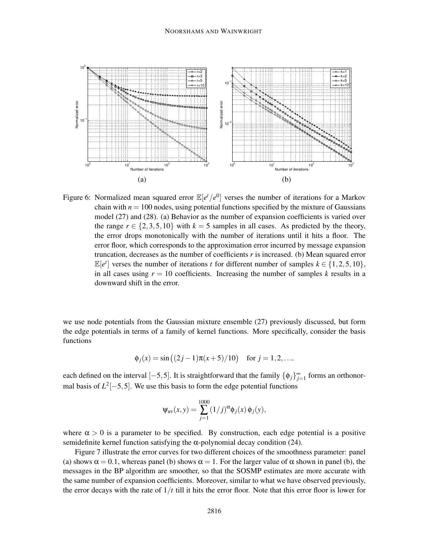

Figure 6: Normalized mean squared error  $\mathbb{E}[e^t/e^0]$  verses the number of iterations for a Markov chain with  $n = 100$  nodes, using potential functions specified by the mixture of Gaussians model (27) and (28). (a) Behavior as the number of expansion coefficients is varied over the range  $r \in \{2, 3, 5, 10\}$  with  $k = 5$  samples in all cases. As predicted by the theory, the error drops monotonically with the number of iterations until it hits a floor. The error floor, which corresponds to the approximation error incurred by message expansion truncation, decreases as the number of coefficients *r* is increased. (b) Mean squared error  $\mathbb{E}[e^t]$  verses the number of iterations *t* for different number of samples  $k \in \{1, 2, 5, 10\}$ , in all cases using  $r = 10$  coefficients. Increasing the number of samples  $k$  results in a downward shift in the error.

we use node potentials from the Gaussian mixture ensemble (27) previously discussed, but form the edge potentials in terms of a family of kernel functions. More specifically, consider the basis functions

$$
\phi_j(x) = \sin((2j-1)\pi(x+5)/10)
$$
 for  $j = 1, 2, ...$ 

each defined on the interval  $[-5, 5]$ . It is straightforward that the family  $\{\phi_j\}_{j=1}^{\infty}$  forms an orthonormal basis of  $L^2[-5, 5]$ . We use this basis to form the edge potential functions

$$
\Psi_{uv}(x, y) = \sum_{j=1}^{1000} (1/j)^{\alpha} \phi_j(x) \phi_j(y),
$$

where  $\alpha > 0$  is a parameter to be specified. By construction, each edge potential is a positive semidefinite kernel function satisfying the  $\alpha$ -polynomial decay condition (24).

Figure 7 illustrate the error curves for two different choices of the smoothness parameter: panel (a) shows  $\alpha = 0.1$ , whereas panel (b) shows  $\alpha = 1$ . For the larger value of  $\alpha$  shown in panel (b), the messages in the BP algorithm are smoother, so that the SOSMP estimates are more accurate with the same number of expansion coefficients. Moreover, similar to what we have observed previously, the error decays with the rate of  $1/t$  till it hits the error floor. Note that this error floor is lower for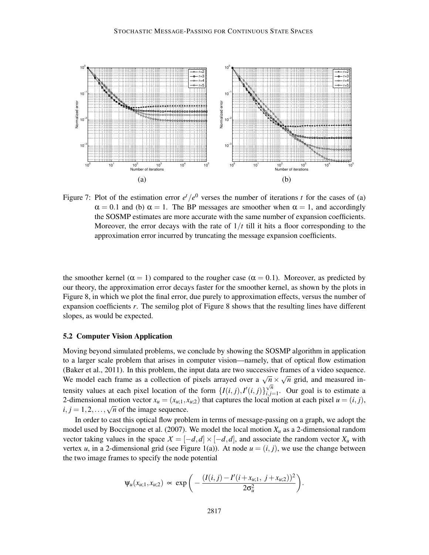

Figure 7: Plot of the estimation error  $e^t/e^0$  verses the number of iterations *t* for the cases of (a)  $\alpha = 0.1$  and (b)  $\alpha = 1$ . The BP messages are smoother when  $\alpha = 1$ , and accordingly the SOSMP estimates are more accurate with the same number of expansion coefficients. Moreover, the error decays with the rate of  $1/t$  till it hits a floor corresponding to the approximation error incurred by truncating the message expansion coefficients.

the smoother kernel ( $\alpha = 1$ ) compared to the rougher case ( $\alpha = 0.1$ ). Moreover, as predicted by our theory, the approximation error decays faster for the smoother kernel, as shown by the plots in Figure 8, in which we plot the final error, due purely to approximation effects, versus the number of expansion coefficients *r*. The semilog plot of Figure 8 shows that the resulting lines have different slopes, as would be expected.

#### 5.2 Computer Vision Application

Moving beyond simulated problems, we conclude by showing the SOSMP algorithm in application to a larger scale problem that arises in computer vision—namely, that of optical flow estimation (Baker et al., 2011). In this problem, the input data are two successive frames of a video sequence. We model each frame as a collection of pixels arrayed over a  $\sqrt{n} \times \sqrt{n}$  grid, and measured intensity values at each pixel location of the form  $\{I(i, j), I'(i, j)\}_{i, j=1}^{\sqrt{n}}$  $\bigvee_{i,j=1}^{n}$ . Our goal is to estimate a 2-dimensional motion vector  $x_u = (x_{u,1}, x_{u,2})$  that captures the local motion at each pixel  $u = (i, j)$ ,  $i, j = 1, 2, \ldots, \sqrt{n}$  of the image sequence.

In order to cast this optical flow problem in terms of message-passing on a graph, we adopt the model used by Boccignone et al. (2007). We model the local motion  $X_u$  as a 2-dimensional random vector taking values in the space  $X = [-d, d] \times [-d, d]$ , and associate the random vector  $X_u$  with vertex *u*, in a 2-dimensional grid (see Figure 1(a)). At node  $u = (i, j)$ , we use the change between the two image frames to specify the node potential

$$
\Psi_u(x_{u;1},x_{u;2}) \propto \exp\bigg(-\frac{(I(i,j)-I'(i+x_{u;1}, j+x_{u;2}))^2}{2\sigma_u^2}\bigg).
$$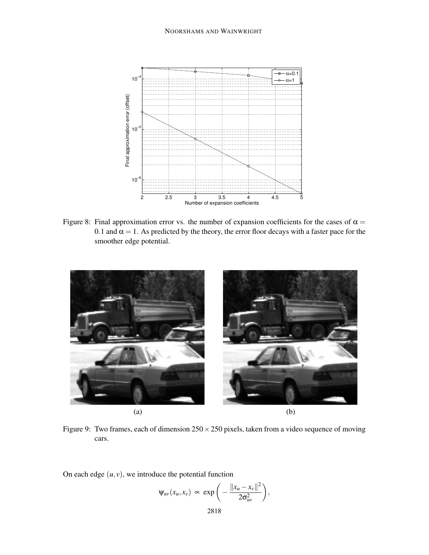

Figure 8: Final approximation error vs. the number of expansion coefficients for the cases of  $\alpha =$ 0.1 and  $\alpha = 1$ . As predicted by the theory, the error floor decays with a faster pace for the smoother edge potential.



Figure 9: Two frames, each of dimension  $250 \times 250$  pixels, taken from a video sequence of moving cars.

On each edge  $(u, v)$ , we introduce the potential function

$$
\Psi_{uv}(x_u,x_v) \propto \exp\bigg(-\frac{\|x_u-x_v\|^2}{2\sigma_{uv}^2}\bigg),\,
$$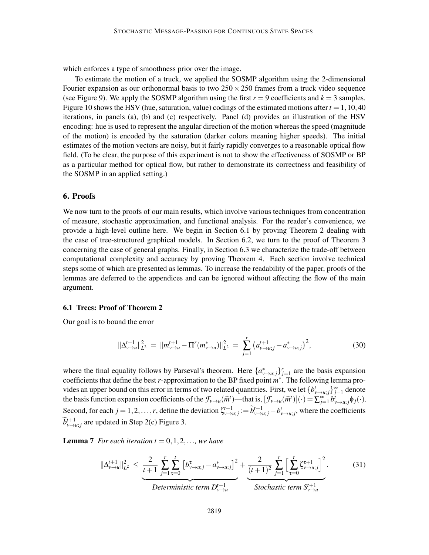which enforces a type of smoothness prior over the image.

To estimate the motion of a truck, we applied the SOSMP algorithm using the 2-dimensional Fourier expansion as our orthonormal basis to two  $250 \times 250$  frames from a truck video sequence (see Figure 9). We apply the SOSMP algorithm using the first  $r = 9$  coefficients and  $k = 3$  samples. Figure 10 shows the HSV (hue, saturation, value) codings of the estimated motions after  $t = 1,10,40$ iterations, in panels (a), (b) and (c) respectively. Panel (d) provides an illustration of the HSV encoding: hue is used to represent the angular direction of the motion whereas the speed (magnitude of the motion) is encoded by the saturation (darker colors meaning higher speeds). The initial estimates of the motion vectors are noisy, but it fairly rapidly converges to a reasonable optical flow field. (To be clear, the purpose of this experiment is not to show the effectiveness of SOSMP or BP as a particular method for optical flow, but rather to demonstrate its correctness and feasibility of the SOSMP in an applied setting.)

### 6. Proofs

We now turn to the proofs of our main results, which involve various techniques from concentration of measure, stochastic approximation, and functional analysis. For the reader's convenience, we provide a high-level outline here. We begin in Section 6.1 by proving Theorem 2 dealing with the case of tree-structured graphical models. In Section 6.2, we turn to the proof of Theorem 3 concerning the case of general graphs. Finally, in Section 6.3 we characterize the trade-off between computational complexity and accuracy by proving Theorem 4. Each section involve technical steps some of which are presented as lemmas. To increase the readability of the paper, proofs of the lemmas are deferred to the appendices and can be ignored without affecting the flow of the main argument.

### 6.1 Trees: Proof of Theorem 2

Our goal is to bound the error

$$
\|\Delta_{\nu\to u}^{t+1}\|_{L^2}^2 = \|m_{\nu\to u}^{t+1} - \Pi^r(m_{\nu\to u}^*)\|_{L^2}^2 = \sum_{j=1}^r \left(a_{\nu\to u;j}^{t+1} - a_{\nu\to u;j}^*\right)^2, \tag{30}
$$

where the final equality follows by Parseval's theorem. Here  $\{a_{\nu\to\mu;j}^*\}_{j=1}^r$  are the basis expansion coefficients that define the best *r*-approximation to the BP fixed point *m* ∗ . The following lemma provides an upper bound on this error in terms of two related quantities. First, we let  $\{b_{v \to u;j}^{\dagger}\}_{j=1}^{\infty}$  denote the basis function expansion coefficients of the  $\mathcal{F}_{v\to u}(\hat{m}^t)$ —that is,  $[\mathcal{F}_{v\to u}(\hat{m}^t)](\cdot) = \sum_{j=1}^{\infty} b_{v\to u;j}^i \phi_j(\cdot)$ . Second, for each  $j = 1, 2, ..., r$ , define the deviation  $\zeta_{\nu \to u;j}^{t+1} := \widetilde{b}_{\nu \to u;j}^{t+1} - b_{\nu \to u;j}^t$ , where the coefficients  $\widetilde{b}^{t+1}_{v \to u; j}$  are updated in Step 2(c) Figure 3.

**Lemma 7** For each iteration  $t = 0, 1, 2, \ldots$ , we have

$$
\|\Delta_{\nu\to u}^{t+1}\|_{L^{2}}^{2} \leq \underbrace{\frac{2}{t+1} \sum_{j=1}^{r} \sum_{\tau=0}^{t} \left[b_{\nu\to u;j}^{\tau} - a_{\nu\to u;j}^{*}\right]^{2}}_{Deterministic \ term \ D_{\nu\to u}^{t+1}} + \underbrace{\frac{2}{(t+1)^{2}} \sum_{j=1}^{r} \left[\sum_{\tau=0}^{t} \zeta_{\nu\to u;j}^{\tau+1}\right]^{2}}_{Stochastic \ term \ S_{\nu\to u}^{t+1}}.
$$
 (31)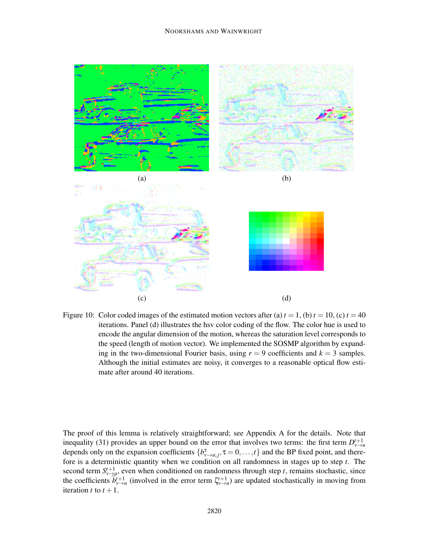#### NOORSHAMS AND WAINWRIGHT



Figure 10: Color coded images of the estimated motion vectors after (a)  $t = 1$ , (b)  $t = 10$ , (c)  $t = 40$ iterations. Panel (d) illustrates the hsv color coding of the flow. The color hue is used to encode the angular dimension of the motion, whereas the saturation level corresponds to the speed (length of motion vector). We implemented the SOSMP algorithm by expanding in the two-dimensional Fourier basis, using  $r = 9$  coefficients and  $k = 3$  samples. Although the initial estimates are noisy, it converges to a reasonable optical flow estimate after around 40 iterations.

The proof of this lemma is relatively straightforward; see Appendix A for the details. Note that inequality (31) provides an upper bound on the error that involves two terms: the first term  $D_{\nu\to u}^{t+1}$ depends only on the expansion coefficients  $\{b_{\nu \to \mu;j}^{\tau}, \tau = 0, \ldots, t\}$  and the BP fixed point, and therefore is a deterministic quantity when we condition on all randomness in stages up to step *t*. The second term  $S_{v\to w}^{t+1}$ , even when conditioned on randomness through step *t*, remains stochastic, since the coefficients  $\tilde{b}^{t+1}_{v\to u}$  (involved in the error term  $\zeta^{t+1}_{v\to u}$ ) are updated stochastically in moving from iteration *t* to  $t + 1$ .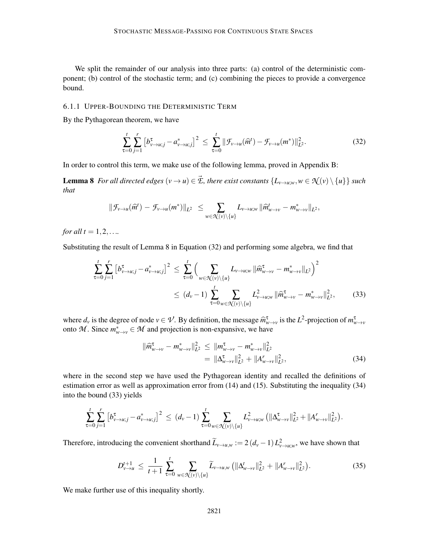We split the remainder of our analysis into three parts: (a) control of the deterministic component; (b) control of the stochastic term; and (c) combining the pieces to provide a convergence bound.

## 6.1.1 UPPER-BOUNDING THE DETERMINISTIC TERM

By the Pythagorean theorem, we have

$$
\sum_{\tau=0}^{t} \sum_{j=1}^{r} \left[ b_{\nu \to u;j}^{\tau} - a_{\nu \to u;j}^{*} \right]^2 \leq \sum_{\tau=0}^{t} \|\mathcal{F}_{\nu \to u}(\widehat{m}^t) - \mathcal{F}_{\nu \to u}(m^*)\|_{L^2}^2.
$$
 (32)

In order to control this term, we make use of the following lemma, proved in Appendix B:

**Lemma 8** *For all directed edges*  $(v \to u) \in \vec{E}$ , *there exist constants*  $\{L_{v \to u,w}, w \in \mathcal{N}(v) \setminus \{u\}\}\$  *such that*

$$
\|\mathcal{F}_{\nu \to u}(\widehat{m}^t) - \mathcal{F}_{\nu \to u}(m^*)\|_{L^2} \leq \sum_{w \in \mathcal{R}(\nu) \setminus \{u\}} L_{\nu \to u;w} \|\widehat{m}^t_{w \to \nu} - m^*_{w \to \nu}\|_{L^2},
$$

*for all*  $t = 1, 2, ...$ 

Substituting the result of Lemma 8 in Equation (32) and performing some algebra, we find that

$$
\sum_{\tau=0}^{t} \sum_{j=1}^{r} \left[ b_{\nu \to u;j}^{\tau} - a_{\nu \to u;j}^{*} \right]^2 \leq \sum_{\tau=0}^{t} \left( \sum_{w \in \mathcal{K}(\nu) \setminus \{u\}} L_{\nu \to u;w} \|\widehat{m}_{w \to \nu}^{\tau} - m_{w \to \nu}^* \|_{L^2} \right)^2
$$
\n
$$
\leq (d_{\nu} - 1) \sum_{\tau=0}^{t} \sum_{w \in \mathcal{K}(\nu) \setminus \{u\}} L_{\nu \to u;w}^2 \|\widehat{m}_{w \to \nu}^{\tau} - m_{w \to \nu}^* \|_{L^2}^2, \tag{33}
$$

where  $d_v$  is the degree of node  $v \in V$ . By definition, the message  $\hat{m}_{w \to v}^{\tau}$  is the  $L^2$ -projection of  $m_{w \to v}^{\tau}$ onto M. Since  $m^*_{w \to v} \in M$  and projection is non-expansive, we have

$$
\|\widehat{m}_{w \to v}^{\tau} - m_{w \to v}^*\|_{L^2}^2 \le \|m_{w \to v}^{\tau} - m_{w \to v}^*\|_{L^2}^2 \n= \|\Delta_{w \to v}^{\tau}\|_{L^2}^2 + \|A_{w \to v}^{\tau}\|_{L^2}^2,
$$
\n(34)

where in the second step we have used the Pythagorean identity and recalled the definitions of estimation error as well as approximation error from (14) and (15). Substituting the inequality (34) into the bound (33) yields

$$
\sum_{\tau=0}^t \sum_{j=1}^r \left[ b_{\nu \to u;j}^{\tau} - a_{\nu \to u;j}^{\ast} \right]^2 \le (d_{\nu} - 1) \sum_{\tau=0}^t \sum_{w \in \mathcal{K}(\nu) \setminus \{u\}} L^2_{\nu \to u;w} \left( \| \Delta_{w \to \nu}^{\tau} \|_{L^2}^2 + \| A_{w \to \nu}^{\tau} \|_{L^2}^2 \right).
$$

Therefore, introducing the convenient shorthand  $\tilde{L}_{\nu\to u,w} := 2(d_\nu - 1)L_{\nu\to u,w}^2$ , we have shown that

$$
D_{\nu \to u}^{t+1} \leq \frac{1}{t+1} \sum_{\tau=0}^{t} \sum_{w \in \mathcal{K}(\nu) \setminus \{u\}} \widetilde{L}_{\nu \to u, w} \left( \|\Delta_{w \to v}^{t}\|_{L^{2}}^{2} + \|A_{w \to v}^{r}\|_{L^{2}}^{2} \right).
$$
 (35)

We make further use of this inequality shortly.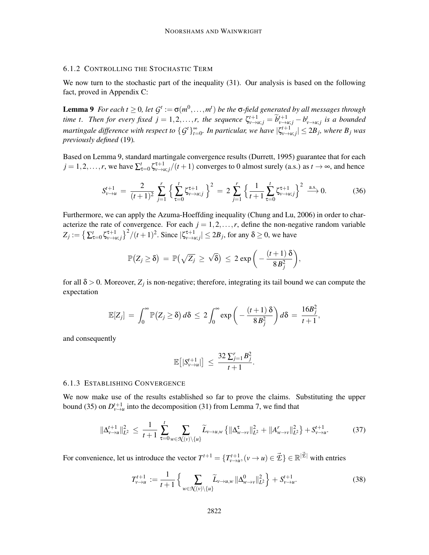## 6.1.2 CONTROLLING THE STOCHASTIC TERM

We now turn to the stochastic part of the inequality (31). Our analysis is based on the following fact, proved in Appendix C:

**Lemma 9** *For each t*  $\geq$  0, *let*  $G^t := \sigma(m^0, \ldots, m^t)$  *be the*  $\sigma$ -field generated by all messages through time t. Then for every fixed  $j = 1, 2, ..., r$ , the sequence  $\zeta_{v \to u;j}^{t+1} = \widetilde{b}_{v \to u;j}^{t+1} - b_{v \to u;j}^{t}$  is a bounded *martingale difference with respect to*  $\{G^t\}_{t=0}^{\infty}$ . In particular, we have  $|\zeta_{v\to u;j}^{t+1}| \le 2B_j$ , where  $B_j$  was *previously defined* (19)*.*

Based on Lemma 9, standard martingale convergence results (Durrett, 1995) guarantee that for each  $j = 1, 2, \ldots, r$ , we have  $\sum_{\tau=0}^{t} \zeta_{v \to u; j}^{\tau+1} / (t+1)$  converges to 0 almost surely (a.s.) as  $t \to \infty$ , and hence

$$
S_{\nu \to u}^{t+1} = \frac{2}{(t+1)^2} \sum_{j=1}^r \left\{ \sum_{\tau=0}^t \zeta_{\nu \to u;j}^{\tau+1} \right\}^2 = 2 \sum_{j=1}^r \left\{ \frac{1}{t+1} \sum_{\tau=0}^t \zeta_{\nu \to u;j}^{\tau+1} \right\}^2 \xrightarrow{\text{a.s.}} 0. \tag{36}
$$

Furthermore, we can apply the Azuma-Hoeffding inequality (Chung and Lu, 2006) in order to characterize the rate of convergence. For each  $j = 1, 2, ..., r$ , define the non-negative random variable  $Z_j := \left\{ \sum_{\tau=0}^t \zeta_{\nu \to u;j}^{\tau+1} \right\}^2 / (t+1)^2$ . Since  $|\zeta_{\nu \to u;j}^{\tau+1}| \le 2B_j$ , for any  $\delta \ge 0$ , we have

$$
\mathbb{P}\big(Z_j \geq \delta\big) \, = \, \mathbb{P}\big(\sqrt{Z_j} \, \geq \, \sqrt{\delta}\big) \, \leq \, 2 \, \exp\bigg(-\frac{(t+1)\,\delta}{8\,B_j^2}\bigg),
$$

for all  $\delta$  > 0. Moreover,  $Z_j$  is non-negative; therefore, integrating its tail bound we can compute the expectation

$$
\mathbb{E}[Z_j] = \int_0^\infty \mathbb{P}\big(Z_j \geq \delta\big) d\delta \leq 2 \int_0^\infty \exp\bigg(-\frac{(t+1)\,\delta}{8B_j^2}\bigg) d\delta = \frac{16B_j^2}{t+1},
$$

and consequently

$$
\mathbb{E}\big[|S_{\nu\to u}^{t+1}|\big] \ \leq \ \frac{32\sum_{j=1}^r B_j^2}{t+1}.
$$

## 6.1.3 ESTABLISHING CONVERGENCE

We now make use of the results established so far to prove the claims. Substituting the upper bound (35) on  $D_{v\to u}^{t+1}$  into the decomposition (31) from Lemma 7, we find that

$$
\|\Delta_{\nu\to u}^{t+1}\|_{L^2}^2 \le \frac{1}{t+1} \sum_{\tau=0}^t \sum_{w \in \mathcal{K}(\nu) \setminus \{u\}} \widetilde{L}_{\nu\to u,w} \left\{ \|\Delta_{w\to v}^{\tau}\|_{L^2}^2 + \|A_{w\to v}^r\|_{L^2}^2 \right\} + S_{\nu\to u}^{t+1}.
$$
 (37)

For convenience, let us introduce the vector  $T^{t+1} = \{T^{t+1}_{v \to u}, (v \to u) \in \vec{\mathcal{L}}\} \in \mathbb{R}^{|\vec{\mathcal{L}}|}$  with entries

$$
T_{\nu \to u}^{t+1} := \frac{1}{t+1} \left\{ \sum_{w \in \mathcal{N}(\nu) \setminus \{u\}} \widetilde{L}_{\nu \to u, w} \left\| \Delta_{w \to \nu}^0 \right\|_{L^2}^2 \right\} + S_{\nu \to u}^{t+1}.
$$
 (38)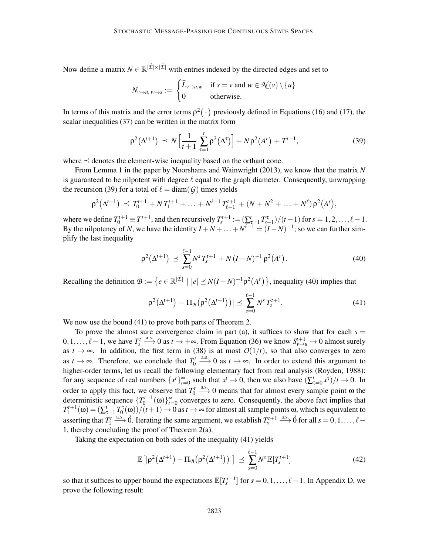Now define a matrix  $N \in \mathbb{R}^{|\vec{\mathcal{E}}| \times |\vec{\mathcal{E}}|}$  with entries indexed by the directed edges and set to

$$
N_{v\to u, w\to s} := \begin{cases} \widetilde{L}_{v\to u, w} & \text{if } s = v \text{ and } w \in \mathcal{N}(v) \setminus \{u\} \\ 0 & \text{otherwise.} \end{cases}
$$

In terms of this matrix and the error terms  $\rho^2(\cdot)$  previously defined in Equations (16) and (17), the scalar inequalities (37) can be written in the matrix form

$$
\rho^{2}(\Delta^{t+1}) \preceq N \left[ \frac{1}{t+1} \sum_{\tau=1}^{t} \rho^{2}(\Delta^{\tau}) \right] + N \rho^{2}(A^{r}) + T^{t+1}, \tag{39}
$$

where  $\preceq$  denotes the element-wise inequality based on the orthant cone.

From Lemma 1 in the paper by Noorshams and Wainwright (2013), we know that the matrix *N* is guaranteed to be nilpotent with degree  $\ell$  equal to the graph diameter. Consequently, unwrapping the recursion (39) for a total of  $\ell = \text{diam}(\mathcal{G})$  times yields

$$
\rho^2(\Delta^{t+1}) \preceq T_0^{t+1} + N T_1^{t+1} + \ldots + N^{\ell-1} T_{\ell-1}^{t+1} + (N + N^2 + \ldots + N^{\ell}) \rho^2(A^r),
$$

where we define  $T_0^{t+1} \equiv T^{t+1}$ , and then recursively  $T_s^{t+1} := (\sum_{i=1}^t T_{s-1}^{\tau})/(t+1)$  for  $s = 1, 2, ..., \ell-1$ . By the nilpotency of *N*, we have the identity  $I + N + \ldots + N^{\ell-1} = (I - N)^{-1}$ ; so we can further simplify the last inequality

$$
\rho^2(\Delta^{t+1}) \preceq \sum_{s=0}^{\ell-1} N^s T_s^{t+1} + N (I - N)^{-1} \rho^2(A^r). \tag{40}
$$

Recalling the definition  $\mathcal{B} := \{e \in \mathbb{R}^{|\vec{\mathcal{E}}|} \mid |e| \preceq N(I-N)^{-1} \rho^2(A^r)\}$ , inequality (40) implies that

$$
\left|\rho^{2}(\Delta^{t+1}) - \Pi_{\mathcal{B}}(\rho^{2}(\Delta^{t+1}))\right| \preceq \sum_{s=0}^{\ell-1} N^{s} T_{s}^{t+1}.
$$
\n(41)

We now use the bound  $(41)$  to prove both parts of Theorem 2.

To prove the almost sure convergence claim in part (a), it suffices to show that for each  $s =$ 0,1,...,  $\ell-1$ , we have  $T_s^t$   $\xrightarrow{a.s.} 0$  as  $t \to +\infty$ . From Equation (36) we know  $S_{\nu\to u}^{t+1} \to 0$  almost surely as  $t \to \infty$ . In addition, the first term in (38) is at most  $O(1/t)$ , so that also converges to zero as  $t \to \infty$ . Therefore, we conclude that  $T_0^t \xrightarrow{a.s.} 0$  as  $t \to \infty$ . In order to extend this argument to higher-order terms, let us recall the following elementary fact from real analysis (Royden, 1988): for any sequence of real numbers  $\{x^t\}_{t=0}^{\infty}$  such that  $x^t \to 0$ , then we also have  $(\sum_{\tau=0}^t x^{\tau})/t \to 0$ . In order to apply this fact, we observe that  $T_0^t \xrightarrow{a.s.} 0$  means that for almost every sample point  $\omega$  the deterministic sequence  $\{T_0^{t+1}(\omega)\}_{t=0}^{\infty}$  converges to zero. Consequently, the above fact implies that  $T_1^{t+1}(\omega) = (\sum_{\tau=1}^t T_0^{\tau}(\omega))/(t+1) \to 0$  as  $t \to \infty$  for almost all sample points  $\omega$ , which is equivalent to asserting that  $T_1^t \xrightarrow{a.s.} \vec{0}$ . Iterating the same argument, we establish  $T_s^{t+1} \xrightarrow{a.s.} \vec{0}$  for all  $s = 0, 1, ..., \ell$ 1, thereby concluding the proof of Theorem 2(a).

Taking the expectation on both sides of the inequality (41) yields

$$
\mathbb{E}\big[|\rho^2(\Delta^{t+1}) - \Pi_{\mathcal{B}}\big(\rho^2(\Delta^{t+1})\big)|\big] \preceq \sum_{s=0}^{\ell-1} N^s \mathbb{E}[T_s^{t+1}] \tag{42}
$$

so that it suffices to upper bound the expectations  $\mathbb{E}[T_s^{t+1}]$  for  $s = 0, 1, ..., \ell-1$ . In Appendix D, we prove the following result: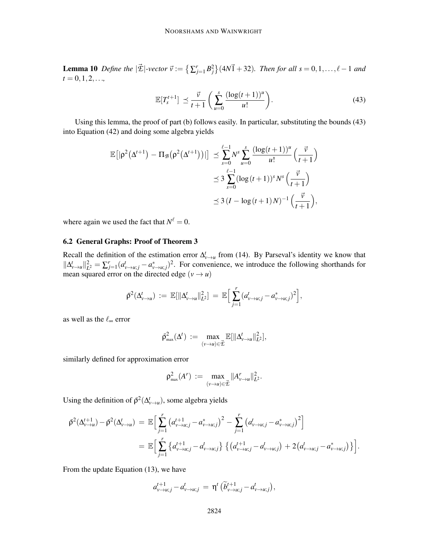**Lemma 10** Define the  $|\vec{\mathcal{E}}|$ -vector  $\vec{v} := \left\{ \sum_{j=1}^r B_j^2 \right\} (4N\vec{1} + 32)$ . Then for all  $s = 0, 1, \ldots, \ell - 1$  and  $t = 0, 1, 2, \ldots,$ 

$$
\mathbb{E}[T_s^{t+1}] \preceq \frac{\vec{v}}{t+1} \left( \sum_{u=0}^s \frac{(\log(t+1))^u}{u!} \right). \tag{43}
$$

Using this lemma, the proof of part (b) follows easily. In particular, substituting the bounds (43) into Equation (42) and doing some algebra yields

$$
\mathbb{E}\big[|\rho^2(\Delta^{t+1}) - \Pi_{\mathcal{B}}(\rho^2(\Delta^{t+1}))|\big] \preceq \sum_{s=0}^{\ell-1} N^s \sum_{u=0}^s \frac{(\log(t+1))^u}{u!} \left(\frac{\vec{v}}{t+1}\right)
$$
  

$$
\preceq 3 \sum_{s=0}^{\ell-1} (\log(t+1))^s N^s \left(\frac{\vec{v}}{t+1}\right)
$$
  

$$
\preceq 3 (I - \log(t+1)N)^{-1} \left(\frac{\vec{v}}{t+1}\right),
$$

where again we used the fact that  $N^{\ell} = 0$ .

## 6.2 General Graphs: Proof of Theorem 3

Recall the definition of the estimation error  $\Delta_{\nu\to\mu}^t$  from (14). By Parseval's identity we know that  $||\Delta_{\nu\to u}^t||_{L^2}^2 = \sum_{j=1}^r (a_{\nu\to u;j}^t - a_{\nu\to u;j}^*)^2$ . For convenience, we introduce the following shorthands for mean squared error on the directed edge  $(v \rightarrow u)$ 

$$
\bar{\rho}^2(\Delta_{\nu \to u}^t) := \mathbb{E}[\|\Delta_{\nu \to u}^t\|_{L^2}^2] = \mathbb{E}\Big[\sum_{j=1}^r (a_{\nu \to u;j}^t - a_{\nu \to u;j}^*)^2\Big],
$$

as well as the  $\ell_{\infty}$  error

$$
\bar{\rho}^2_{\text{max}}(\Delta^t) \ := \ \max_{(\nu \to u) \in \vec{\mathcal{I}}} \mathbb{E}[\|\Delta^t_{\nu \to u}\|_{L^2}^2],
$$

similarly defined for approximation error

$$
\rho_{\max}^2(A^r) \, := \, \max_{(\nu \to u) \in \vec{\mathcal{L}}} \|A^r_{\nu \to u}\|_{L^2}^2.
$$

Using the definition of  $\bar{\rho}^2(\Delta^t_{v\to u})$ , some algebra yields

$$
\bar{\rho}^{2}(\Delta_{\nu \to u}^{t+1}) - \bar{\rho}^{2}(\Delta_{\nu \to u}^{t}) = \mathbb{E}\Big[\sum_{j=1}^{r} \left(a_{\nu \to u;j}^{t+1} - a_{\nu \to u;j}^{*}\right)^{2} - \sum_{j=1}^{r} \left(a_{\nu \to u;j}^{t} - a_{\nu \to u;j}^{*}\right)^{2}\Big]
$$
\n
$$
= \mathbb{E}\Big[\sum_{j=1}^{r} \left\{a_{\nu \to u;j}^{t+1} - a_{\nu \to u;j}^{t}\right\} \left\{\left(a_{\nu \to u;j}^{t+1} - a_{\nu \to u;j}^{t}\right) + 2\left(a_{\nu \to u;j}^{t} - a_{\nu \to u;j}^{*}\right)\right\}\Big].
$$

From the update Equation (13), we have

$$
a_{v\rightarrow u;j}^{t+1}-a_{v\rightarrow u;j}^t = \eta^t \left(\widetilde{b}_{v\rightarrow u;j}^{t+1}-a_{v\rightarrow u;j}^t\right),
$$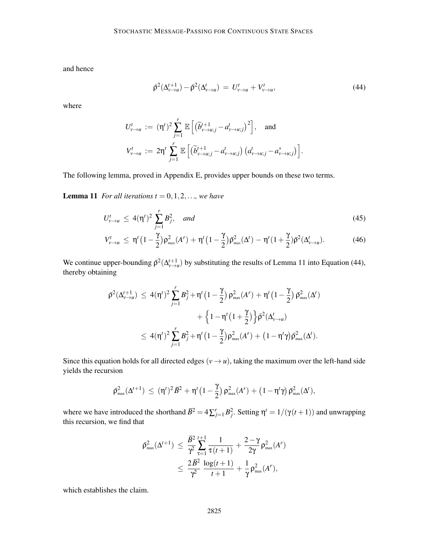and hence

$$
\bar{\rho}^{2}(\Delta_{\nu \to u}^{t+1}) - \bar{\rho}^{2}(\Delta_{\nu \to u}^{t}) = U_{\nu \to u}^{t} + V_{\nu \to u}^{t}, \tag{44}
$$

where

$$
U_{\nu \to u}^t := (\eta^t)^2 \sum_{j=1}^r \mathbb{E}\left[\left(\widetilde{b}_{\nu \to u;j}^{t+1} - a_{\nu \to u;j}^t\right)^2\right], \text{ and}
$$
  

$$
V_{\nu \to u}^t := 2\eta^t \sum_{j=1}^r \mathbb{E}\left[\left(\widetilde{b}_{\nu \to u;j}^{t+1} - a_{\nu \to u;j}^t\right)\left(a_{\nu \to u;j}^t - a_{\nu \to u;j}^*\right)\right].
$$

The following lemma, proved in Appendix E, provides upper bounds on these two terms.

**Lemma 11** *For all iterations t* =  $0, 1, 2, \ldots$ *, we have* 

$$
U_{\nu \to u}^t \le 4(\eta^t)^2 \sum_{j=1}^r B_j^2, \quad and \tag{45}
$$

$$
V_{\nu\to u}^t \leq \eta^t \left(1 - \frac{\gamma}{2}\right) \rho_{\text{max}}^2(A^r) + \eta^t \left(1 - \frac{\gamma}{2}\right) \bar{\rho}_{\text{max}}^2(\Delta^t) - \eta^t \left(1 + \frac{\gamma}{2}\right) \bar{\rho}^2(\Delta_{\nu\to u}^t). \tag{46}
$$

We continue upper-bounding  $\bar{\rho}^2(\Delta^{t+1}_{\nu \to u})$  by substituting the results of Lemma 11 into Equation (44), thereby obtaining

$$
\begin{aligned} \bar{\rho}^2 (\Delta^{t+1}_{\nu \to u}) \,\, &\leq \, 4 (\eta^t)^2 \sum_{j=1}^r B_j^2 + \eta^t \big(1-\frac{\gamma}{2}\big) \, \rho_{\text{max}}^2 (A^r) \, + \, \eta^t \big(1-\frac{\gamma}{2}\big) \, \bar{\rho}_{\text{max}}^2 (\Delta^t) \\ &\quad + \, \Big\{ 1 - \eta^t \big(1+\frac{\gamma}{2}\big) \Big\} \bar{\rho}^2 (\Delta^t_{\nu \to u}) \\ &\leq \, 4 (\eta^t)^2 \sum_{j=1}^r B_j^2 + \eta^t \big(1-\frac{\gamma}{2}\big) \rho_{\text{max}}^2 (A^r) \, + \, \big(1-\eta^t \gamma \big) \bar{\rho}_{\text{max}}^2 (\Delta^t). \end{aligned}
$$

Since this equation holds for all directed edges  $(v \rightarrow u)$ , taking the maximum over the left-hand side yields the recursion

$$
\bar{\rho}_{\scriptscriptstyle \rm max}^2 (\Delta^{t+1}) \, \leq \, (\eta^t)^2 \bar{\mathcal{B}}^2 + \eta^t \big(1-\frac{\gamma}{2}\big) \, \rho_{\scriptscriptstyle \rm max}^2 (\mathcal{A}^r) \, + \, \big(1-\eta^t \gamma \big) \, \bar{\rho}_{\scriptscriptstyle \rm max}^2 (\Delta^t),
$$

where we have introduced the shorthand  $\bar{B}^2 = 4\sum_{j=1}^r B_j^2$ . Setting  $\eta^t = 1/(\gamma(t+1))$  and unwrapping this recursion, we find that

$$
\begin{aligned} \bar{\rho}^2_{\max}(\Delta^{t+1}) \,\, &\leq \,\, \frac{\bar{B}^2}{\gamma^2} \sum_{\tau=1}^{t+1} \frac{1}{\tau(t+1)} + \frac{2-\gamma}{2\gamma} \rho^2_{\max}(A^r) \\ &\leq \,\, \frac{2\bar{B}^2}{\gamma^2} \, \frac{\log(t+1)}{t+1} + \frac{1}{\gamma} \rho^2_{\max}(A^r), \end{aligned}
$$

which establishes the claim.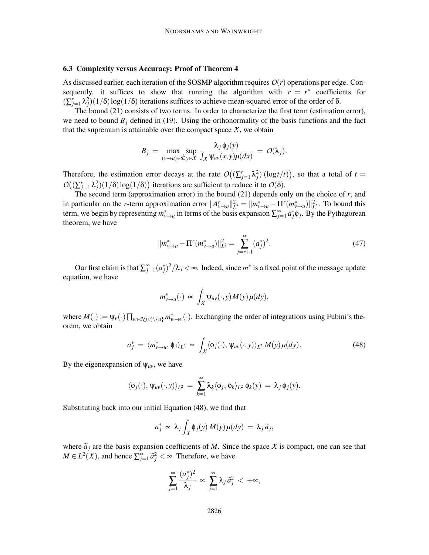### 6.3 Complexity versus Accuracy: Proof of Theorem 4

As discussed earlier, each iteration of the SOSMP algorithm requires  $O(r)$  operations per edge. Consequently, it suffices to show that running the algorithm with  $r = r^*$  coefficients for  $(\sum_{j=1}^r \lambda_j^2)(1/\delta) \log(1/\delta)$  iterations suffices to achieve mean-squared error of the order of  $\delta$ .

The bound (21) consists of two terms. In order to characterize the first term (estimation error), we need to bound  $B_j$  defined in (19). Using the orthonormality of the basis functions and the fact that the supremum is attainable over the compact space  $X$ , we obtain

$$
B_j = \max_{(v \to u) \in \vec{\mathcal{E}} \, y \in \mathcal{X}} \frac{\lambda_j \, \phi_j(y)}{\int_{\mathcal{X}} \Psi_{uv}(x, y) \mu(dx)} = O(\lambda_j).
$$

Therefore, the estimation error decays at the rate  $O((\sum_{j=1}^r \lambda_j^2) (\log t/t))$ , so that a total of  $t =$  $O((\sum_{j=1}^{r} \lambda_j^2)(1/\delta) \log(1/\delta))$  iterations are sufficient to reduce it to  $O(\delta)$ .

The second term (approximation error) in the bound (21) depends only on the choice of *r*, and in particular on the *r*-term approximation error  $||A_{v\rightarrow u}^r||_L^2$  $L^2 = \|m_{\nu \to u}^* - \Pi^r(m_{\nu \to u}^*)\|_L^2$  $L^2$ . To bound this term, we begin by representing  $m^*_{v\to u}$  in terms of the basis expansion  $\sum_{j=1}^{\infty} a^*_j \phi_j$ . By the Pythagorean theorem, we have

$$
||m_{\nu \to u}^* - \Pi^r(m_{\nu \to u}^*)||_{L^2}^2 = \sum_{j=r+1}^{\infty} (a_j^*)^2.
$$
 (47)

Our first claim is that  $\sum_{j=1}^{\infty} (a_j^*)^2/\lambda_j < \infty$ . Indeed, since  $m^*$  is a fixed point of the message update equation, we have

$$
m_{v\to u}^*(\cdot) \propto \int_X \Psi_{uv}(\cdot, y) M(y) \mu(dy),
$$

where  $M(\cdot) := \psi_v(\cdot) \prod_{w \in \mathcal{N}(v) \setminus \{u\}} m_{w \to v}^*(\cdot)$ . Exchanging the order of integrations using Fubini's theorem, we obtain

$$
a_j^* = \langle m_{\nu \to u}^*, \phi_j \rangle_{L^2} \propto \int_X \langle \phi_j(\cdot), \psi_{uv}(\cdot, y) \rangle_{L^2} M(y) \mu(dy). \tag{48}
$$

By the eigenexpansion of  $\psi_{uv}$ , we have

$$
\langle \phi_j(\cdot), \psi_{uv}(\cdot, y) \rangle_{L^2} = \sum_{k=1}^{\infty} \lambda_k \langle \phi_j, \phi_k \rangle_{L^2} \phi_k(y) = \lambda_j \phi_j(y).
$$

Substituting back into our initial Equation (48), we find that

$$
a_j^* \propto \lambda_j \int_X \phi_j(y) M(y) \mu(dy) = \lambda_j \widetilde{a}_j,
$$

where  $\tilde{a}_i$  are the basis expansion coefficients of *M*. Since the space *X* is compact, one can see that  $M \in L^2(X)$ , and hence  $\sum_{j=1}^{\infty} \tilde{a}_j^2 < \infty$ . Therefore, we have

$$
\sum_{j=1}^{\infty} \frac{(a_j^*)^2}{\lambda_j} \propto \sum_{j=1}^{\infty} \lambda_j \tilde{a}_j^2 < +\infty,
$$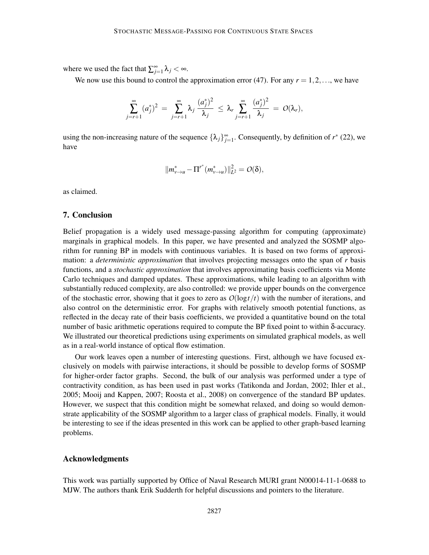where we used the fact that  $\sum_{j=1}^{\infty} \lambda_j < \infty$ .

We now use this bound to control the approximation error (47). For any  $r = 1, 2, \ldots$ , we have

$$
\sum_{j=r+1}^{\infty}(a_j^*)^2 = \sum_{j=r+1}^{\infty}\lambda_j\,\frac{(a_j^*)^2}{\lambda_j}\,\leq\,\lambda_r\sum_{j=r+1}^{\infty}\frac{(a_j^*)^2}{\lambda_j}\,=\,\mathit{O}(\lambda_r),
$$

using the non-increasing nature of the sequence  $\{\lambda_j\}_{j=1}^{\infty}$ . Consequently, by definition of  $r^*$  (22), we have

$$
||m_{v\to u}^* - \Pi^{r^*}(m_{v\to u}^*)||_{L^2}^2 = O(\delta),
$$

as claimed.

### 7. Conclusion

Belief propagation is a widely used message-passing algorithm for computing (approximate) marginals in graphical models. In this paper, we have presented and analyzed the SOSMP algorithm for running BP in models with continuous variables. It is based on two forms of approximation: a *deterministic approximation* that involves projecting messages onto the span of *r* basis functions, and a *stochastic approximation* that involves approximating basis coefficients via Monte Carlo techniques and damped updates. These approximations, while leading to an algorithm with substantially reduced complexity, are also controlled: we provide upper bounds on the convergence of the stochastic error, showing that it goes to zero as  $O(\log t/t)$  with the number of iterations, and also control on the deterministic error. For graphs with relatively smooth potential functions, as reflected in the decay rate of their basis coefficients, we provided a quantitative bound on the total number of basic arithmetic operations required to compute the BP fixed point to within δ-accuracy. We illustrated our theoretical predictions using experiments on simulated graphical models, as well as in a real-world instance of optical flow estimation.

Our work leaves open a number of interesting questions. First, although we have focused exclusively on models with pairwise interactions, it should be possible to develop forms of SOSMP for higher-order factor graphs. Second, the bulk of our analysis was performed under a type of contractivity condition, as has been used in past works (Tatikonda and Jordan, 2002; Ihler et al., 2005; Mooij and Kappen, 2007; Roosta et al., 2008) on convergence of the standard BP updates. However, we suspect that this condition might be somewhat relaxed, and doing so would demonstrate applicability of the SOSMP algorithm to a larger class of graphical models. Finally, it would be interesting to see if the ideas presented in this work can be applied to other graph-based learning problems.

## Acknowledgments

This work was partially supported by Office of Naval Research MURI grant N00014-11-1-0688 to MJW. The authors thank Erik Sudderth for helpful discussions and pointers to the literature.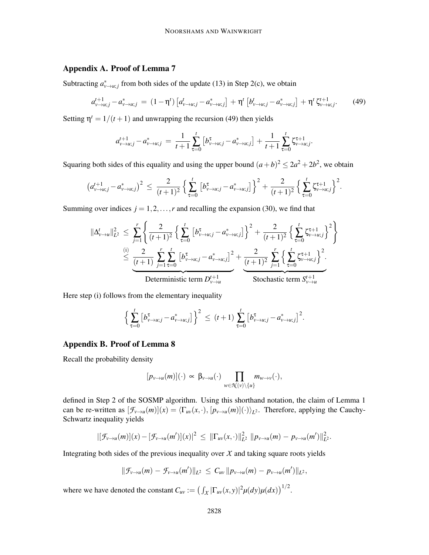## Appendix A. Proof of Lemma 7

Subtracting  $a^*_{\nu \to u;j}$  from both sides of the update (13) in Step 2(c), we obtain

$$
a_{\nu \to u;j}^{t+1} - a_{\nu \to u;j}^* = (1 - \eta^t) \left[ a_{\nu \to u;j}^t - a_{\nu \to u;j}^* \right] + \eta^t \left[ b_{\nu \to u;j}^t - a_{\nu \to u;j}^* \right] + \eta^t \zeta_{\nu \to u;j}^{t+1}.
$$
 (49)

Setting  $\eta^t = 1/(t+1)$  and unwrapping the recursion (49) then yields

$$
a_{v \to u;j}^{t+1} - a_{v \to u;j}^* = \frac{1}{t+1} \sum_{\tau=0}^t \left[ b_{v \to u;j}^{\tau} - a_{v \to u;j}^* \right] + \frac{1}{t+1} \sum_{\tau=0}^t \zeta_{v \to u;j}^{\tau+1}.
$$

Squaring both sides of this equality and using the upper bound  $(a+b)^2 \leq 2a^2 + 2b^2$ , we obtain

$$
\left(a_{\nu \to u;j}^{t+1} - a_{\nu \to u;j}^*\right)^2 \leq \frac{2}{(t+1)^2} \left\{\sum_{\tau=0}^t \left[b_{\nu \to u;j}^{\tau} - a_{\nu \to u;j}^*\right]\right\}^2 + \frac{2}{(t+1)^2} \left\{\sum_{\tau=0}^t \zeta_{\nu \to u;j}^{\tau+1}\right\}^2.
$$

Summing over indices  $j = 1, 2, \ldots, r$  and recalling the expansion (30), we find that

$$
\|\Delta_{\nu\to u}^t\|_{L^2}^2 \leq \sum_{j=1}^r \left\{ \frac{2}{(t+1)^2} \left\{ \sum_{\tau=0}^t \left[ b_{\nu\to u;j}^{\tau} - a_{\nu\to u;j}^{\ast} \right] \right\}^2 + \frac{2}{(t+1)^2} \left\{ \sum_{\tau=0}^t \zeta_{\nu\to u;j}^{\tau+1} \right\}^2 \right\}
$$
  

$$
\leq \underbrace{\frac{(i)}{(t+1)} \sum_{j=1}^2 \sum_{\tau=0}^t \left[ b_{\nu\to u;j}^{\tau} - a_{\nu\to u;j}^{\ast} \right]^2}_{\text{Deterministic term } D_{\nu\to u}^{t+1}} + \underbrace{\frac{2}{(t+1)^2} \sum_{j=1}^r \left\{ \sum_{\tau=0}^t \zeta_{\nu\to u;j}^{\tau+1} \right\}^2}_{\text{Stochastic term } S_{\nu\to u}^{t+1}}.
$$

Here step (i) follows from the elementary inequality

$$
\left\{\sum_{\tau=0}^t \left[b_{\nu \to u;j}^{\tau} - a_{\nu \to u;j}^*\right]\right\}^2 \le (t+1) \sum_{\tau=0}^t \left[b_{\nu \to u;j}^{\tau} - a_{\nu \to u;j}^*\right]^2.
$$

## Appendix B. Proof of Lemma 8

Recall the probability density

$$
[p_{v\to u}(m)](\cdot) \propto \beta_{v\to u}(\cdot) \prod_{w\in\mathcal{K}(v)\setminus\{u\}} m_{w\to v}(\cdot),
$$

defined in Step 2 of the SOSMP algorithm. Using this shorthand notation, the claim of Lemma 1 can be re-written as  $[\mathcal{F}_{\nu \to u}(m)](x) = \langle \Gamma_{uv}(x, \cdot), [p_{v \to u}(m)](\cdot) \rangle_{L^2}$ . Therefore, applying the Cauchy-Schwartz inequality yields

$$
|[\mathcal{F}_{\nu \to u}(m)](x) - [\mathcal{F}_{\nu \to u}(m')](x)|^2 \leq ||\Gamma_{uv}(x,\cdot)||_{L^2}^2 ||p_{\nu \to u}(m) - p_{\nu \to u}(m')||_{L^2}^2.
$$

Integrating both sides of the previous inequality over  $X$  and taking square roots yields

$$
\|\mathcal{F}_{v\to u}(m)-\mathcal{F}_{v\to u}(m')\|_{L^2}\leq C_{uv}\,\|p_{v\to u}(m)-p_{v\to u}(m')\|_{L^2},
$$

where we have denoted the constant  $C_{uv} := (\int_X |\Gamma_{uv}(x, y)|^2 \mu(dy) \mu(dx))^{1/2}$ .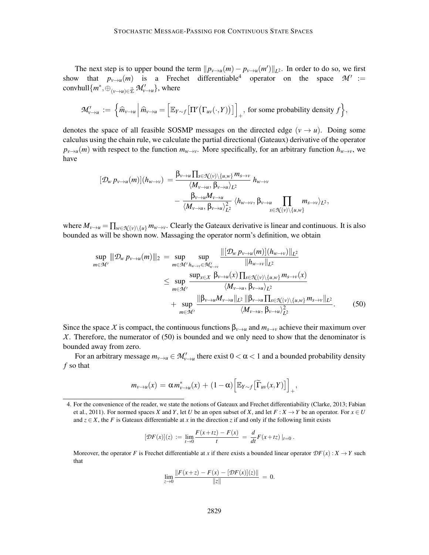The next step is to upper bound the term  $||p_{v\to u}(m) - p_{v\to u}(m')||_{L^2}$ . In order to do so, we first show that  $p_{v\to u}(m)$  is a Frechet differentiable<sup>4</sup> operator on the space  $\mathcal{M}' :=$  $\operatorname{convhull}\{m^*, \oplus_{(\nu \to u) \in \vec{\mathcal{E}}} \mathcal{M}'_{\nu \to u}\}, \text{ where}$ 

$$
\mathcal{M}'_{v \to u} := \left\{ \widehat{m}_{v \to u} \, \middle| \, \widehat{m}_{v \to u} = \left[ \mathbb{E}_{Y \sim f} \big[ \Pi^r \big( \Gamma_{uv}(\cdot, Y) \big) \big] \right]_+, \text{ for some probability density } f \right\},\
$$

denotes the space of all feasible SOSMP messages on the directed edge  $(v \rightarrow u)$ . Doing some calculus using the chain rule, we calculate the partial directional (Gateaux) derivative of the operator  $p_{v\to u}(m)$  with respect to the function  $m_{w\to v}$ . More specifically, for an arbitrary function  $h_{w\to v}$ , we have

$$
[\mathcal{D}_{w} p_{v \to u}(m)](h_{w \to v}) = \frac{\beta_{v \to u} \prod_{s \in \mathcal{N}(v) \setminus \{u,w\}} m_{s \to v}}{\langle M_{v \to u}, \beta_{v \to u} \rangle_{L^2}} h_{w \to v} -\frac{\beta_{v \to u} M_{v \to u}}{\langle M_{v \to u}, \beta_{v \to u} \rangle_{L^2}} \langle h_{w \to v}, \beta_{v \to u} \prod_{s \in \mathcal{N}(v) \setminus \{u,w\}} m_{s \to v} \rangle_{L^2},
$$

where  $M_{\nu\to u} = \prod_{w\in\mathcal{N}(\nu)\setminus\{u\}} m_{w\to v}$ . Clearly the Gateaux derivative is linear and continuous. It is also bounded as will be shown now. Massaging the operator norm's definition, we obtain

$$
\sup_{m \in \mathcal{M}'} \|\mathcal{D}_{w} p_{v \to u}(m)\|_{2} = \sup_{m \in \mathcal{M}'} \sup_{h_{w \to v} \in \mathcal{M}'_{w \to v}} \frac{\|[\mathcal{D}_{w} p_{v \to u}(m)](h_{w \to v})\|_{L^{2}}}{\|h_{w \to v}\|_{L^{2}}}
$$
  

$$
\leq \sup_{m \in \mathcal{M}'} \frac{\sup_{x \in X} \beta_{v \to u}(x) \prod_{s \in \mathcal{N}(v) \setminus \{u, w\}} m_{s \to v}(x)}{\langle M_{v \to u}, \beta_{v \to u} \rangle_{L^{2}}}
$$
  
+ 
$$
\sup_{m \in \mathcal{M}'} \frac{\|\beta_{v \to u} M_{v \to u}\|_{L^{2}} \|\beta_{v \to u} \prod_{s \in \mathcal{N}(v) \setminus \{u, w\}} m_{s \to v}\|_{L^{2}}}{\langle M_{v \to u}, \beta_{v \to u} \rangle_{L^{2}}^{2}}.
$$
(50)

Since the space *X* is compact, the continuous functions  $\beta_{v\to u}$  and  $m_{s\to v}$  achieve their maximum over *X*. Therefore, the numerator of (50) is bounded and we only need to show that the denominator is bounded away from zero.

For an arbitrary message  $m_{v\to u} \in M'_{v\to u}$  there exist  $0 < \alpha < 1$  and a bounded probability density *f* so that

$$
m_{v\to u}(x) = \alpha m_{v\to u}^*(x) + (1-\alpha) \Big[ \mathbb{E}_{Y\sim f} \big[ \widetilde{\Gamma}_{uv}(x,Y) \big] \Big]_+,
$$

$$
[\mathcal{D}F(x)](z) := \lim_{t \to 0} \frac{F(x + tz) - F(x)}{t} = \frac{d}{dt}F(x + tz)|_{t=0}.
$$

Moreover, the operator *F* is Frechet differentiable at *x* if there exists a bounded linear operator  $\mathcal{D}F(x)$  :  $X \to Y$  such that

$$
\lim_{z \to 0} \frac{\|F(x+z) - F(x) - [\mathcal{D}F(x)](z)\|}{\|z\|} = 0.
$$

<sup>4.</sup> For the convenience of the reader, we state the notions of Gateaux and Frechet differentiability (Clarke, 2013; Fabian et al., 2011). For normed spaces *X* and *Y*, let *U* be an open subset of *X*, and let  $F: X \to Y$  be an operator. For  $x \in U$ and  $z \in X$ , the *F* is Gateaux differentiable at *x* in the direction *z* if and only if the following limit exists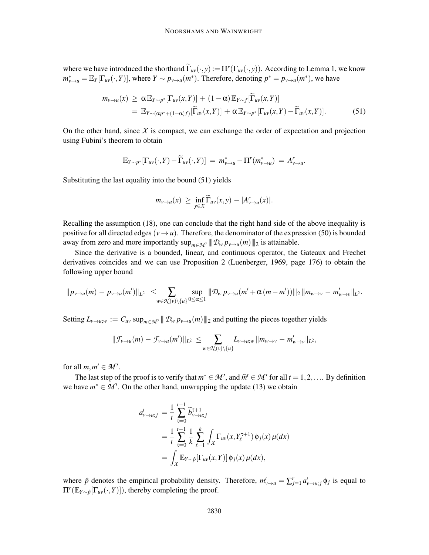where we have introduced the shorthand  $\tilde{\Gamma}_{uv}(\cdot, y) := \Pi^{r}(\Gamma_{uv}(\cdot, y))$ . According to Lemma 1, we know  $m_{\nu \to u}^* = \mathbb{E}_Y[\Gamma_{uv}(\cdot, Y)]$ , where  $Y \sim p_{\nu \to u}(m^*)$ . Therefore, denoting  $p^* = p_{\nu \to u}(m^*)$ , we have

$$
m_{\nu \to u}(x) \geq \alpha \mathbb{E}_{Y \sim p^*}[\Gamma_{uv}(x, Y)] + (1 - \alpha) \mathbb{E}_{Y \sim f}[\widetilde{\Gamma}_{uv}(x, Y)]
$$
  
= 
$$
\mathbb{E}_{Y \sim (\alpha p^* + (1 - \alpha)f)}[\widetilde{\Gamma}_{uv}(x, Y)] + \alpha \mathbb{E}_{Y \sim p^*}[\Gamma_{uv}(x, Y) - \widetilde{\Gamma}_{uv}(x, Y)].
$$
 (51)

On the other hand, since  $X$  is compact, we can exchange the order of expectation and projection using Fubini's theorem to obtain

$$
\mathbb{E}_{Y \sim p^*}[\Gamma_{uv}(\cdot, Y) - \widetilde{\Gamma}_{uv}(\cdot, Y)] = m^*_{v \to u} - \Pi^r(m^*_{v \to u}) = A^r_{v \to u}.
$$

Substituting the last equality into the bound (51) yields

$$
m_{v\to u}(x) \geq \inf_{y\in X} \widetilde{\Gamma}_{uv}(x,y) - |A_{v\to u}^r(x)|.
$$

Recalling the assumption (18), one can conclude that the right hand side of the above inequality is positive for all directed edges ( $v \rightarrow u$ ). Therefore, the denominator of the expression (50) is bounded away from zero and more importantly  $\sup_{m \in \mathcal{M}'} || || \mathcal{D}_w p_{v \to u}(m) || ||_2$  is attainable.

Since the derivative is a bounded, linear, and continuous operator, the Gateaux and Frechet derivatives coincides and we can use Proposition 2 (Luenberger, 1969, page 176) to obtain the following upper bound

$$
||p_{\nu \to u}(m) - p_{\nu \to u}(m')||_{L^2} \leq \sum_{w \in \mathcal{K}(\nu) \backslash \{u\}} \sup_{0 \leq \alpha \leq 1} ||p_{w} p_{\nu \to u}(m' + \alpha (m - m'))||_2 ||m_{w \to v} - m'_{w \to v}||_{L^2}.
$$

Setting  $L_{\nu \to u;w} := C_{uv} \sup_{m \in \mathcal{M}'} ||D_w p_{\nu \to u}(m)||_2$  and putting the pieces together yields

$$
\|\mathcal{F}_{\nu \to u}(m) - \mathcal{F}_{\nu \to u}(m')\|_{L^2} \leq \sum_{w \in \mathcal{N}(\nu) \setminus \{u\}} L_{\nu \to u;w} \|m_{w \to v} - m'_{w \to v}\|_{L^2},
$$

for all  $m, m' \in \mathcal{M}'$ .

The last step of the proof is to verify that  $m^* \in \mathcal{M}'$ , and  $\widehat{m}^t \in \mathcal{M}'$  for all  $t = 1, 2, \dots$  By definition we have  $m^* \in \mathcal{M}'$ . On the other hand, unwrapping the update (13) we obtain

$$
a_{\nu \to u;j}^t = \frac{1}{t} \sum_{\tau=0}^{t-1} \widetilde{b}_{\nu \to u;j}^{\tau+1}
$$
  
=  $\frac{1}{t} \sum_{\tau=0}^{t-1} \frac{1}{k} \sum_{\ell=1}^k \int_X \Gamma_{uv}(x, Y_{\ell}^{\tau+1}) \phi_j(x) \mu(dx)$   
=  $\int_X \mathbb{E}_{Y \sim \hat{p}}[\Gamma_{uv}(x, Y)] \phi_j(x) \mu(dx),$ 

where  $\hat{p}$  denotes the empirical probability density. Therefore,  $m_{v\to u}^t = \sum_{j=1}^r a_{v\to u,j}^t \phi_j$  is equal to  $\Pi^r(\mathbb{E}_{Y \sim \hat{p}}[\Gamma_{uv}(\cdot, Y)])$ , thereby completing the proof.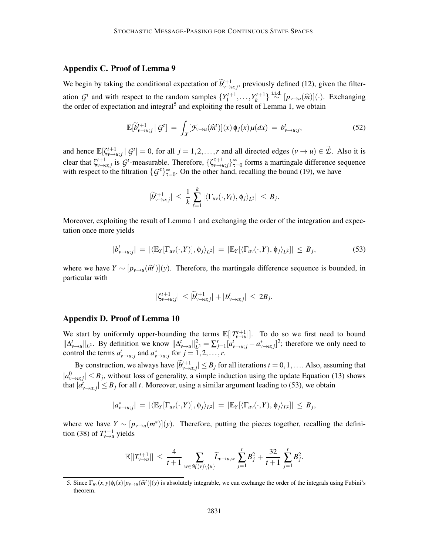## Appendix C. Proof of Lemma 9

We begin by taking the conditional expectation of  $\tilde{b}^{t+1}_{v \to u;j}$ , previously defined (12), given the filteration *G*<sup>t</sup> and with respect to the random samples  $\{Y_1^{t+1}, \ldots, Y_k^{t+1}\} \stackrel{\text{i.i.d.}}{\sim} [p_{\nu \to u}(\hat{m})](\cdot)$ . Exchanging the order of expectation and integral<sup>5</sup> and exploiting the result of Lemma 1, we obtain

$$
\mathbb{E}[\widetilde{b}_{\nu \to u;j}^{t+1} | \mathcal{G}^t] = \int_X [\mathcal{F}_{\nu \to u}(\widehat{m}^t)](x) \phi_j(x) \mu(dx) = b_{\nu \to u;j}^t,
$$
\n(52)

and hence  $\mathbb{E}[\zeta_{\nu \to u;j}^{t+1} | G^t] = 0$ , for all  $j = 1, 2, ..., r$  and all directed edges  $(\nu \to u) \in \mathcal{E}$ . Also it is clear that  $\zeta_{\nu \to u;j}^{t+1}$  is  $G^t$ -measurable. Therefore,  $\{\zeta_{\nu \to u;j}^{t+1}\}_{\tau=0}^{\infty}$  forms a martingale difference sequence with respect to the filtration  $\{G^{\tau}\}_{\tau=0}^{\infty}$ . On the other hand, recalling the bound (19), we have

$$
|\widetilde{b}_{\nu \to u;j}^{t+1}| \leq \frac{1}{k} \sum_{\ell=1}^k |\langle \Gamma_{uv}(\cdot, Y_{\ell}), \phi_j \rangle_{L^2}| \leq B_j.
$$

Moreover, exploiting the result of Lemma 1 and exchanging the order of the integration and expectation once more yields

$$
|b'_{\nu \to u;j}| = |\langle \mathbb{E}_Y[\Gamma_{uv}(\cdot, Y)], \phi_j \rangle_{L^2}| = |\mathbb{E}_Y[\langle \Gamma_{uv}(\cdot, Y), \phi_j \rangle_{L^2}]| \leq B_j,
$$
\n(53)

where we have  $Y \sim [p_{v \to u}(\hat{m}^t)](y)$ . Therefore, the martingale difference sequence is bounded, in particular with

$$
|\zeta_{v\to u;j}^{t+1}| \leq |\widetilde{b}_{v\to u;j}^{t+1}| + |b_{v\to u;j}^{t}| \leq 2B_j.
$$

### Appendix D. Proof of Lemma 10

We start by uniformly upper-bounding the terms  $\mathbb{E}[|T_{v\to u}^{t+1}|]$ . To do so we first need to bound *v*→*u*  $\|\Delta_{v\to u}^t\|_{L^2}$ . By definition we know  $\|\Delta_{v\to u}^t\|_{L^2}^2 = \sum_{j=1}^r [a_{v\to u;j}^* - a_{v\to u;j}^*]^2$ ; therefore we only need to control the terms  $a_{v \to u;j}^t$  and  $a_{v \to u;j}^*$  for  $j = 1, 2, ..., r$ .

By construction, we always have  $|\widetilde{b}_{\nu \to u,j}^{t+1}| \leq B_j$  for all iterations  $t = 0, 1, \dots$  Also, assuming that  $|a_{v\to u;j}^0| \leq B_j$ , without loss of generality, a simple induction using the update Equation (13) shows that  $|\tilde{a}_{v \to u;j}^t| \leq B_j$  for all *t*. Moreover, using a similar argument leading to (53), we obtain

$$
|a^*_{v\rightarrow u;j}| = |\langle \mathbb{E}_Y[\Gamma_{uv}(\cdot,Y)], \phi_j \rangle_{L^2}| = |\mathbb{E}_Y[\langle \Gamma_{uv}(\cdot,Y), \phi_j \rangle_{L^2}]| \leq B_j,
$$

where we have  $Y \sim [p_{v \to u}(m^*)](y)$ . Therefore, putting the pieces together, recalling the definition (38) of  $T_{v\to u}^{t+1}$  yields

$$
\mathbb{E}[|T^{t+1}_{v\to u}|] \leq \frac{4}{t+1} \sum_{w \in \mathcal{N}(v) \setminus \{u\}} \widetilde{L}_{v\to u,w} \sum_{j=1}^r B_j^2 + \frac{32}{t+1} \sum_{j=1}^r B_j^2.
$$

<sup>5.</sup> Since  $\Gamma_{uv}(x, y)\phi_i(x)[p_{v\to u}(\hat{m}^t)](y)$  is absolutely integrable, we can exchange the order of the integrals using Fubini's theorem.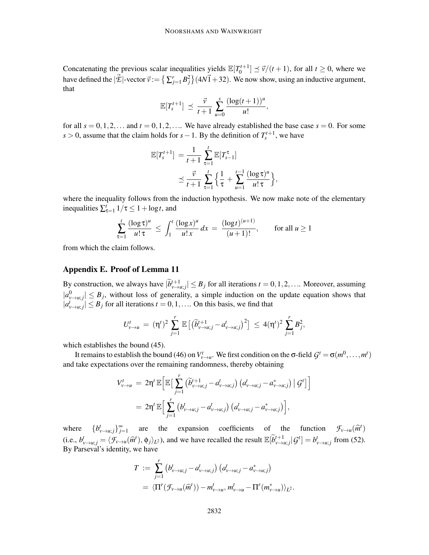Concatenating the previous scalar inequalities yields  $\mathbb{E}[T_0^{t+1}] \preceq \vec{v}/(t+1)$ , for all  $t \ge 0$ , where we have defined the  $|\vec{\mathcal{L}}|$ -vector  $\vec{v} := \left\{ \sum_{j=1}^r B_j^2 \right\} (4N\vec{1} + 32)$ . We now show, using an inductive argument, that

$$
\mathbb{E}[T_s^{t+1}] \preceq \frac{\vec{v}}{t+1} \sum_{u=0}^s \frac{(\log(t+1))^u}{u!},
$$

for all  $s = 0, 1, 2, \ldots$  and  $t = 0, 1, 2, \ldots$  We have already established the base case  $s = 0$ . For some *s* > 0, assume that the claim holds for *s* − 1. By the definition of  $T_s^{t+1}$ , we have

$$
\mathbb{E}[T_s^{t+1}] = \frac{1}{t+1} \sum_{\tau=1}^t \mathbb{E}[T_{s-1}^{\tau}]
$$
  
 
$$
\leq \frac{\vec{v}}{t+1} \sum_{\tau=1}^t \left\{ \frac{1}{\tau} + \sum_{u=1}^{s-1} \frac{(\log \tau)^u}{u! \tau} \right\},
$$

where the inequality follows from the induction hypothesis. We now make note of the elementary inequalities  $\sum_{\tau=1}^{t} 1/\tau \leq 1 + \log t$ , and

$$
\sum_{\tau=1}^t \frac{(\log \tau)^u}{u! \,\tau} \, \le \, \int_1^t \frac{(\log x)^u}{u! \, x} \, dx \, = \, \frac{(\log t)^{(u+1)}}{(u+1)!}, \qquad \text{for all } u \ge 1
$$

from which the claim follows.

## Appendix E. Proof of Lemma 11

By construction, we always have  $|\widetilde{b}_{v \to u;j}^{t+1}| \leq B_j$  for all iterations  $t = 0, 1, 2, \dots$  Moreover, assuming  $|a_{v\to u;j}^0| \leq B_j$ , without loss of generality, a simple induction on the update equation shows that  $|a'_{v\rightarrow u;j}| \leq B_j$  for all iterations  $t = 0, 1, \dots$  On this basis, we find that

$$
U^t_{\nu \to u} = (\eta^t)^2 \sum_{j=1}^r \mathbb{E} \left[ \left( \widetilde{b}^{t+1}_{\nu \to u; j} - a^t_{\nu \to u; j} \right)^2 \right] \le 4(\eta^t)^2 \sum_{j=1}^r B_j^2,
$$

which establishes the bound (45).

It remains to establish the bound (46) on  $V_{\nu\to u}^t$ . We first condition on the  $\sigma$ -field  $G^t = \sigma(m^0, \dots, m^t)$ and take expectations over the remaining randomness, thereby obtaining

$$
V_{\nu \to u}^t = 2\eta^t \mathbb{E} \Big[ \mathbb{E} \Big[ \sum_{j=1}^r \big( \widetilde{b}_{\nu \to u;j}^{t+1} - a_{\nu \to u;j}^t \big) \big( a_{\nu \to u;j}^t - a_{\nu \to u;j}^* \big) \big| \mathcal{G}^t \Big] \Big]
$$
  
= 
$$
2\eta^t \mathbb{E} \Big[ \sum_{j=1}^r \big( b_{\nu \to u;j}^t - a_{\nu \to u;j}^t \big) \big( a_{\nu \to u;j}^t - a_{\nu \to u;j}^* \big) \Big],
$$

where  ${b^t_{v \to u; j}}_{j=1}^{\infty}$  are the expansion coefficients of the function  $\mathcal{F}_{v \to u}(\hat{m}^t)$ *v*→*u*; *j* (i.e.,  $b_{\nu \to u;j}^t = \langle \mathcal{F}_{\nu \to u}(\hat{m}^t), \phi_j \rangle_{L^2}$ ), and we have recalled the result  $\mathbb{E}[\widetilde{b}_{\nu \to u;j}^{t+1} | \mathcal{G}^t] = b_{\nu \to u;j}^t$  from (52). By Parseval's identity, we have

$$
T := \sum_{j=1}^r \left( b_{\nu \to u;j}^t - a_{\nu \to u;j}^t \right) \left( a_{\nu \to u;j}^t - a_{\nu \to u;j}^* \right)
$$
  
=  $\langle \Pi^r (\mathcal{F}_{\nu \to u}(\widehat{m}^t)) - m_{\nu \to u}^t, m_{\nu \to u}^t - \Pi^r (m_{\nu \to u}^*) \rangle_{L^2}.$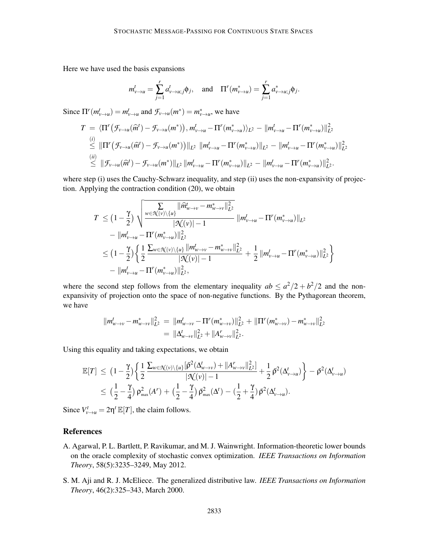Here we have used the basis expansions

$$
m_{\nu \to u}^t = \sum_{j=1}^r a_{\nu \to u;j}^t \phi_j, \quad \text{and} \quad \Pi^r(m_{\nu \to u}^*) = \sum_{j=1}^r a_{\nu \to u;j}^* \phi_j.
$$

Since  $\Pi^{r}(m_{v\to u}^{t}) = m_{v\to u}^{t}$  and  $\mathcal{F}_{v\to u}(m^{*}) = m_{v\to u}^{*}$ , we have

$$
T = \langle \Pi^{r}(\mathcal{F}_{\nu \to u}(\widehat{m}^{t}) - \mathcal{F}_{\nu \to u}(m^{*})) , m_{\nu \to u}^{t} - \Pi^{r}(m_{\nu \to u}^{*}) \rangle_{L^{2}} - ||m_{\nu \to u}^{t} - \Pi^{r}(m_{\nu \to u}^{*})||_{L^{2}}^{2}
$$
  
\n
$$
\stackrel{(i)}{\leq} ||\Pi^{r}(\mathcal{F}_{\nu \to u}(\widehat{m}^{t}) - \mathcal{F}_{\nu \to u}(m^{*}))||_{L^{2}} ||m_{\nu \to u}^{t} - \Pi^{r}(m_{\nu \to u}^{*})||_{L^{2}} - ||m_{\nu \to u}^{t} - \Pi^{r}(m_{\nu \to u}^{*})||_{L^{2}}^{2}
$$
  
\n
$$
\stackrel{(ii)}{\leq} ||\mathcal{F}_{\nu \to u}(\widehat{m}^{t}) - \mathcal{F}_{\nu \to u}(m^{*})||_{L^{2}} ||m_{\nu \to u}^{t} - \Pi^{r}(m_{\nu \to u}^{*})||_{L^{2}} - ||m_{\nu \to u}^{t} - \Pi^{r}(m_{\nu \to u}^{*})||_{L^{2}}^{2}.
$$

where step (i) uses the Cauchy-Schwarz inequality, and step (ii) uses the non-expansivity of projection. Applying the contraction condition (20), we obtain

$$
T \leq (1 - \frac{\gamma}{2}) \sqrt{\frac{\sum\limits_{w \in \mathcal{N}(v) \setminus \{u\}} ||\hat{m}_{w \to v}^t - m_{w \to v}^*||_{L^2}^2}{|\mathcal{N}(v)| - 1}} ||m_{v \to u}^t - \Pi^r(m_{v \to u}^*)||_{L^2}^2}
$$
  

$$
= ||m_{v \to u}^t - \Pi^r(m_{v \to u}^*)||_{L^2}^2
$$
  

$$
\leq (1 - \frac{\gamma}{2}) \left\{ \frac{1}{2} \frac{\sum_{w \in \mathcal{N}(v) \setminus \{u\}} ||m_{w \to v}^t - m_{w \to v}^*||_{L^2}^2}{|\mathcal{N}(v)| - 1} + \frac{1}{2} ||m_{v \to u}^t - \Pi^r(m_{v \to u}^*)||_{L^2}^2 \right\}
$$
  

$$
- ||m_{v \to u}^t - \Pi^r(m_{v \to u}^*)||_{L^2}^2,
$$

where the second step follows from the elementary inequality  $ab \leq a^2/2 + b^2/2$  and the nonexpansivity of projection onto the space of non-negative functions. By the Pythagorean theorem, we have

$$
||m_{w\to v}^t - m_{w\to v}^*||_{L^2}^2 = ||m_{w\to v}^t - \Pi^r(m_{w\to v}^*)||_{L^2}^2 + ||\Pi^r(m_{w\to v}^*) - m_{w\to v}^*||_{L^2}^2
$$
  
=  $||\Delta_{w\to v}^t||_{L^2}^2 + ||A_{w\to v}^r||_{L^2}^2$ .

Using this equality and taking expectations, we obtain

$$
\mathbb{E}[T] \leq \left(1 - \frac{\gamma}{2}\right) \left\{ \frac{1}{2} \frac{\sum_{w \in \mathcal{N}(v) \setminus \{u\}} [\bar{\rho}^2(\Delta_{w \to v}') + ||A_{w \to v}^r||_{L^2}^2]}{|\mathcal{N}(v)| - 1} + \frac{1}{2} \bar{\rho}^2(\Delta_{v \to u}') \right\} - \bar{\rho}^2(\Delta_{v \to u}') \\ \leq \left( \frac{1}{2} - \frac{\gamma}{4} \right) \rho_{\max}^2(A^r) + \left( \frac{1}{2} - \frac{\gamma}{4} \right) \bar{\rho}_{\max}^2(\Delta^t) - \left( \frac{1}{2} + \frac{\gamma}{4} \right) \bar{\rho}^2(\Delta_{v \to u}') .
$$

Since  $V_{\nu \to u}^t = 2\eta^t \mathbb{E}[T]$ , the claim follows.

## References

- A. Agarwal, P. L. Bartlett, P. Ravikumar, and M. J. Wainwright. Information-theoretic lower bounds on the oracle complexity of stochastic convex optimization. *IEEE Transactions on Information Theory*, 58(5):3235–3249, May 2012.
- S. M. Aji and R. J. McEliece. The generalized distributive law. *IEEE Transactions on Information Theory*, 46(2):325–343, March 2000.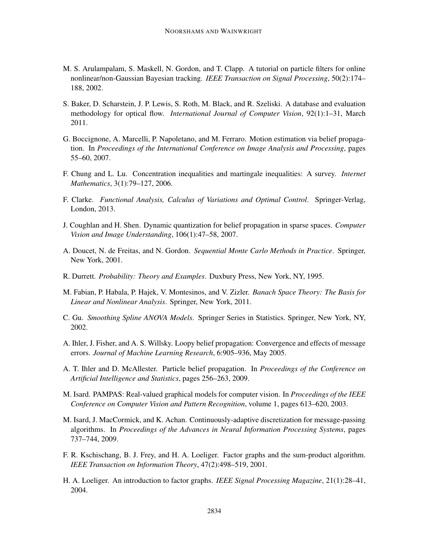- M. S. Arulampalam, S. Maskell, N. Gordon, and T. Clapp. A tutorial on particle filters for online nonlinear/non-Gaussian Bayesian tracking. *IEEE Transaction on Signal Processing*, 50(2):174– 188, 2002.
- S. Baker, D. Scharstein, J. P. Lewis, S. Roth, M. Black, and R. Szeliski. A database and evaluation methodology for optical flow. *International Journal of Computer Vision*, 92(1):1–31, March 2011.
- G. Boccignone, A. Marcelli, P. Napoletano, and M. Ferraro. Motion estimation via belief propagation. In *Proceedings of the International Conference on Image Analysis and Processing*, pages 55–60, 2007.
- F. Chung and L. Lu. Concentration inequalities and martingale inequalities: A survey. *Internet Mathematics*, 3(1):79–127, 2006.
- F. Clarke. *Functional Analysis, Calculus of Variations and Optimal Control*. Springer-Verlag, London, 2013.
- J. Coughlan and H. Shen. Dynamic quantization for belief propagation in sparse spaces. *Computer Vision and Image Understanding*, 106(1):47–58, 2007.
- A. Doucet, N. de Freitas, and N. Gordon. *Sequential Monte Carlo Methods in Practice*. Springer, New York, 2001.
- R. Durrett. *Probability: Theory and Examples*. Duxbury Press, New York, NY, 1995.
- M. Fabian, P. Habala, P. Hajek, V. Montesinos, and V. Zizler. *Banach Space Theory: The Basis for Linear and Nonlinear Analysis*. Springer, New York, 2011.
- C. Gu. *Smoothing Spline ANOVA Models*. Springer Series in Statistics. Springer, New York, NY, 2002.
- A. Ihler, J. Fisher, and A. S. Willsky. Loopy belief propagation: Convergence and effects of message errors. *Journal of Machine Learning Research*, 6:905–936, May 2005.
- A. T. Ihler and D. McAllester. Particle belief propagation. In *Proceedings of the Conference on Artificial Intelligence and Statistics*, pages 256–263, 2009.
- M. Isard. PAMPAS: Real-valued graphical models for computer vision. In *Proceedings of the IEEE Conference on Computer Vision and Pattern Recognition*, volume 1, pages 613–620, 2003.
- M. Isard, J. MacCormick, and K. Achan. Continuously-adaptive discretization for message-passing algorithms. In *Proceedings of the Advances in Neural Information Processing Systems*, pages 737–744, 2009.
- F. R. Kschischang, B. J. Frey, and H. A. Loeliger. Factor graphs and the sum-product algorithm. *IEEE Transaction on Information Theory*, 47(2):498–519, 2001.
- H. A. Loeliger. An introduction to factor graphs. *IEEE Signal Processing Magazine*, 21(1):28–41, 2004.